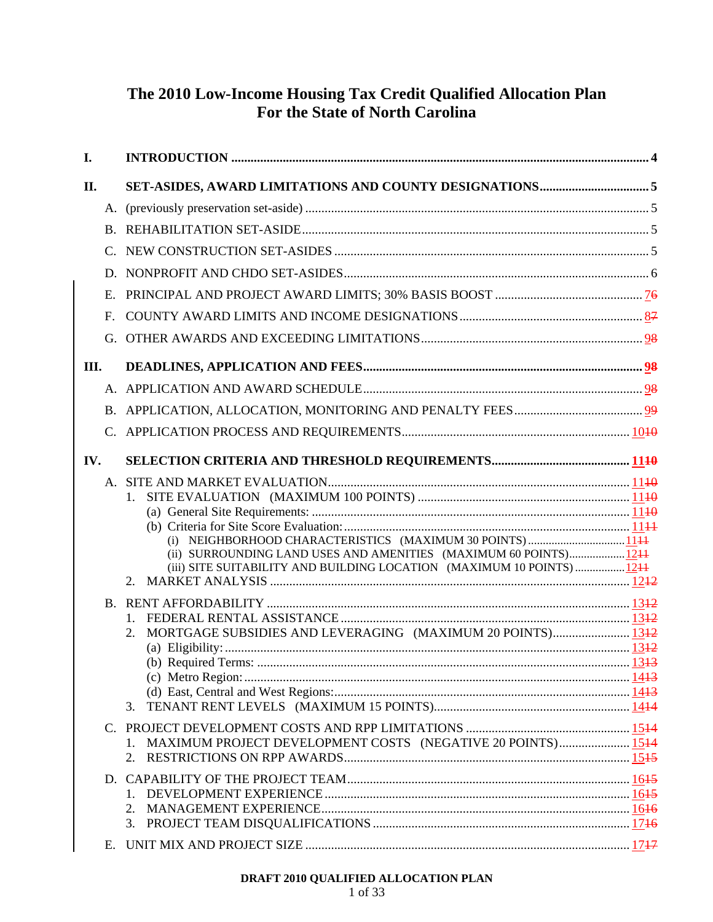# **The 2010 Low-Income Housing Tax Credit Qualified Allocation Plan For the State of North Carolina**

| I.   |                                                                        |  |
|------|------------------------------------------------------------------------|--|
| II.  |                                                                        |  |
|      |                                                                        |  |
|      |                                                                        |  |
|      |                                                                        |  |
|      |                                                                        |  |
|      |                                                                        |  |
| F.   |                                                                        |  |
|      |                                                                        |  |
| III. |                                                                        |  |
|      |                                                                        |  |
|      |                                                                        |  |
|      |                                                                        |  |
| IV.  |                                                                        |  |
|      |                                                                        |  |
|      |                                                                        |  |
|      |                                                                        |  |
|      | (i) NEIGHBORHOOD CHARACTERISTICS (MAXIMUM 30 POINTS) 1144              |  |
|      | (ii) SURROUNDING LAND USES AND AMENITIES (MAXIMUM 60 POINTS)1244       |  |
|      | (iii) SITE SUITABILITY AND BUILDING LOCATION (MAXIMUM 10 POINTS)  1244 |  |
|      | 2.                                                                     |  |
|      |                                                                        |  |
|      |                                                                        |  |
|      | 2.                                                                     |  |
|      |                                                                        |  |
|      |                                                                        |  |
|      |                                                                        |  |
|      | 3.                                                                     |  |
|      |                                                                        |  |
|      | 1.                                                                     |  |
|      | 2.                                                                     |  |
|      |                                                                        |  |
|      | $1_{-}$                                                                |  |
|      |                                                                        |  |
|      | 3.                                                                     |  |
| Е.   |                                                                        |  |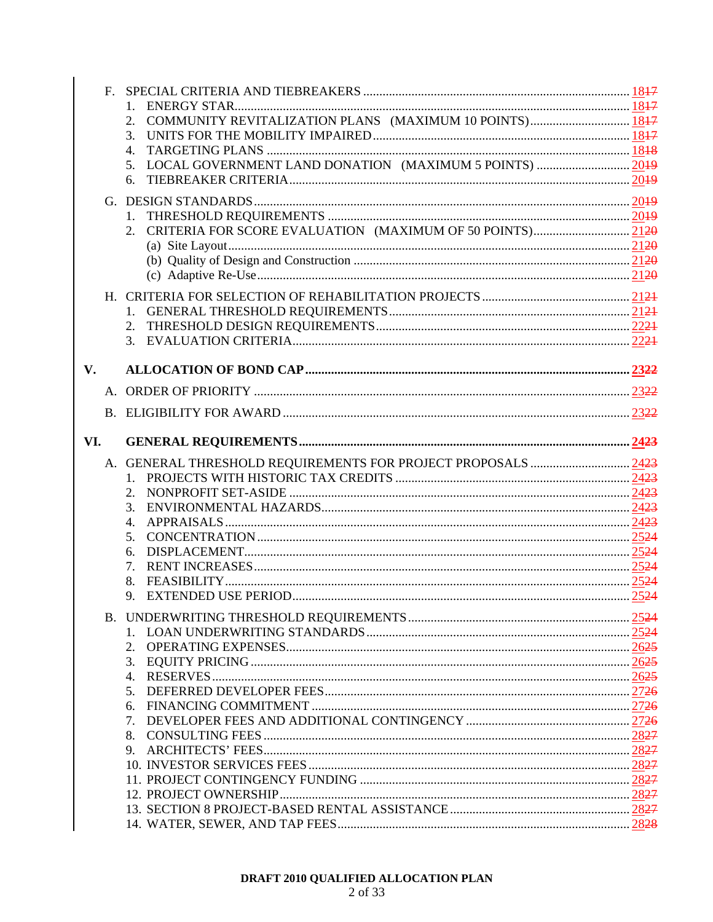|             | $F_{\perp}$ |                                                               |  |
|-------------|-------------|---------------------------------------------------------------|--|
|             |             |                                                               |  |
|             |             | 2.                                                            |  |
|             |             | 3.                                                            |  |
|             |             | 4.                                                            |  |
|             |             | 5.                                                            |  |
|             |             | 6.                                                            |  |
|             |             |                                                               |  |
|             |             |                                                               |  |
|             |             |                                                               |  |
|             |             |                                                               |  |
|             |             |                                                               |  |
|             |             |                                                               |  |
|             |             |                                                               |  |
|             |             |                                                               |  |
|             |             |                                                               |  |
|             |             |                                                               |  |
|             |             |                                                               |  |
| $V_{\cdot}$ |             |                                                               |  |
|             |             |                                                               |  |
|             |             |                                                               |  |
|             |             |                                                               |  |
| VI.         |             |                                                               |  |
|             |             |                                                               |  |
|             |             |                                                               |  |
|             |             | A. GENERAL THRESHOLD REQUIREMENTS FOR PROJECT PROPOSALS  2423 |  |
|             |             |                                                               |  |
|             |             |                                                               |  |
|             |             |                                                               |  |
|             |             | 4.                                                            |  |
|             |             | 5.                                                            |  |
|             |             | 6.                                                            |  |
|             |             | 7.                                                            |  |
|             |             |                                                               |  |
|             |             | 9.                                                            |  |
|             |             |                                                               |  |
|             |             |                                                               |  |
|             |             |                                                               |  |
|             |             |                                                               |  |
|             |             |                                                               |  |
|             |             |                                                               |  |
|             |             |                                                               |  |
|             |             | 7.                                                            |  |
|             |             | 8.                                                            |  |
|             |             | 9.                                                            |  |
|             |             |                                                               |  |
|             |             |                                                               |  |
|             |             |                                                               |  |
|             |             |                                                               |  |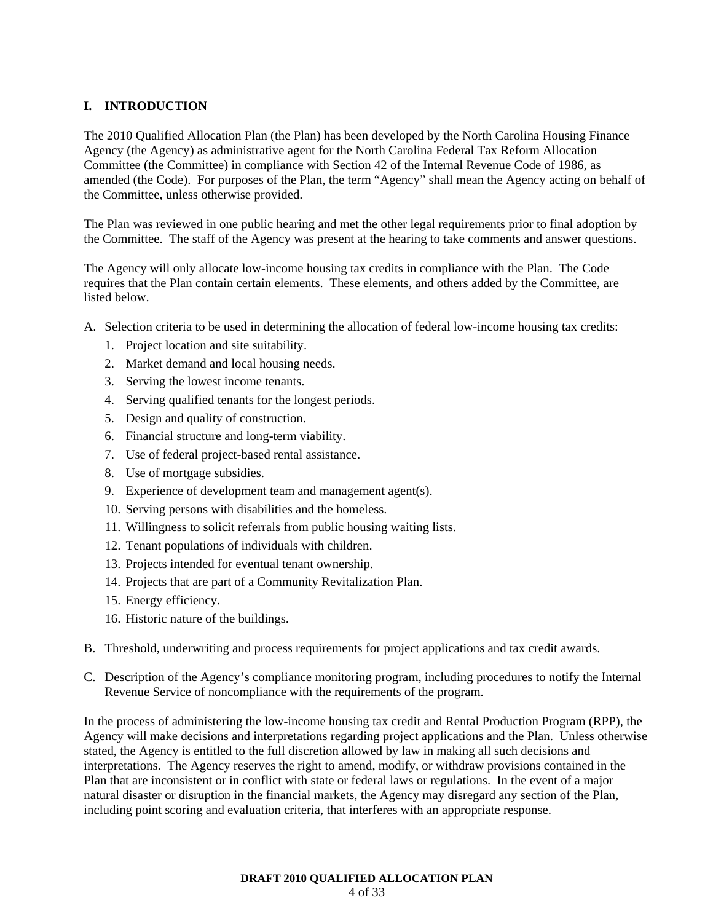# **I. INTRODUCTION**

The 2010 Qualified Allocation Plan (the Plan) has been developed by the North Carolina Housing Finance Agency (the Agency) as administrative agent for the North Carolina Federal Tax Reform Allocation Committee (the Committee) in compliance with Section 42 of the Internal Revenue Code of 1986, as amended (the Code). For purposes of the Plan, the term "Agency" shall mean the Agency acting on behalf of the Committee, unless otherwise provided.

The Plan was reviewed in one public hearing and met the other legal requirements prior to final adoption by the Committee. The staff of the Agency was present at the hearing to take comments and answer questions.

The Agency will only allocate low-income housing tax credits in compliance with the Plan. The Code requires that the Plan contain certain elements. These elements, and others added by the Committee, are listed below.

- A. Selection criteria to be used in determining the allocation of federal low-income housing tax credits:
	- 1. Project location and site suitability.
	- 2. Market demand and local housing needs.
	- 3. Serving the lowest income tenants.
	- 4. Serving qualified tenants for the longest periods.
	- 5. Design and quality of construction.
	- 6. Financial structure and long-term viability.
	- 7. Use of federal project-based rental assistance.
	- 8. Use of mortgage subsidies.
	- 9. Experience of development team and management agent(s).
	- 10. Serving persons with disabilities and the homeless.
	- 11. Willingness to solicit referrals from public housing waiting lists.
	- 12. Tenant populations of individuals with children.
	- 13. Projects intended for eventual tenant ownership.
	- 14. Projects that are part of a Community Revitalization Plan.
	- 15. Energy efficiency.
	- 16. Historic nature of the buildings.
- B. Threshold, underwriting and process requirements for project applications and tax credit awards.
- C. Description of the Agency's compliance monitoring program, including procedures to notify the Internal Revenue Service of noncompliance with the requirements of the program.

In the process of administering the low-income housing tax credit and Rental Production Program (RPP), the Agency will make decisions and interpretations regarding project applications and the Plan. Unless otherwise stated, the Agency is entitled to the full discretion allowed by law in making all such decisions and interpretations. The Agency reserves the right to amend, modify, or withdraw provisions contained in the Plan that are inconsistent or in conflict with state or federal laws or regulations. In the event of a major natural disaster or disruption in the financial markets, the Agency may disregard any section of the Plan, including point scoring and evaluation criteria, that interferes with an appropriate response.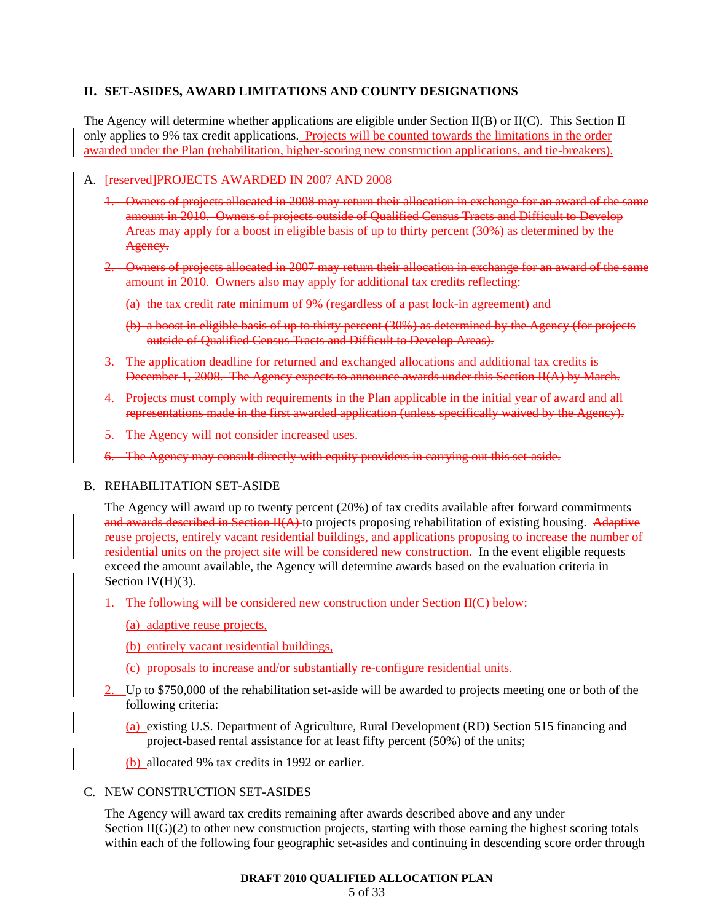### **II. SET-ASIDES, AWARD LIMITATIONS AND COUNTY DESIGNATIONS**

The Agency will determine whether applications are eligible under Section II(B) or II(C). This Section II only applies to 9% tax credit applications. Projects will be counted towards the limitations in the order awarded under the Plan (rehabilitation, higher-scoring new construction applications, and tie-breakers).

#### A. [reserved]PROJECTS AWARDED IN 2007 AND 2008

- 1. Owners of projects allocated in 2008 may return their allocation in exchange for an award of the same amount in 2010. Owners of projects outside of Qualified Census Tracts and Difficult to Develop Areas may apply for a boost in eligible basis of up to thirty percent (30%) as determined by the Agency.
- 2. Owners of projects allocated in 2007 may return their allocation in exchange for an award of the same amount in 2010. Owners also may apply for additional tax credits reflecting:
	- (a) the tax credit rate minimum of 9% (regardless of a past lock-in agreement) and
	- (b) a boost in eligible basis of up to thirty percent (30%) as determined by the Agency (for projects outside of Qualified Census Tracts and Difficult to Develop Areas).
- 3. The application deadline for returned and exchanged allocations and additional tax credits is December 1, 2008. The Agency expects to announce awards under this Section II(A) by March.
- 4. Projects must comply with requirements in the Plan applicable in the initial year of award and all representations made in the first awarded application (unless specifically waived by the Agency).
- 5. The Agency will not consider increased uses.
- 6. The Agency may consult directly with equity providers in carrying out this set-aside.
- B. REHABILITATION SET-ASIDE

The Agency will award up to twenty percent (20%) of tax credits available after forward commitments and awards described in Section  $H(A)$  to projects proposing rehabilitation of existing housing. Adaptive reuse projects, entirely vacant residential buildings, and applications proposing to increase the number of residential units on the project site will be considered new construction. In the event eligible requests exceed the amount available, the Agency will determine awards based on the evaluation criteria in Section  $IV(H)(3)$ .

- 1. The following will be considered new construction under Section  $II(C)$  below:
	- (a) adaptive reuse projects,
	- (b) entirely vacant residential buildings,
	- (c) proposals to increase and/or substantially re-configure residential units.
- 2. Up to \$750,000 of the rehabilitation set-aside will be awarded to projects meeting one or both of the following criteria:
	- (a) existing U.S. Department of Agriculture, Rural Development (RD) Section 515 financing and project-based rental assistance for at least fifty percent (50%) of the units;
	- (b) allocated 9% tax credits in 1992 or earlier.

#### C. NEW CONSTRUCTION SET-ASIDES

The Agency will award tax credits remaining after awards described above and any under Section  $II(G)(2)$  to other new construction projects, starting with those earning the highest scoring totals within each of the following four geographic set-asides and continuing in descending score order through

#### **DRAFT 2010 QUALIFIED ALLOCATION PLAN**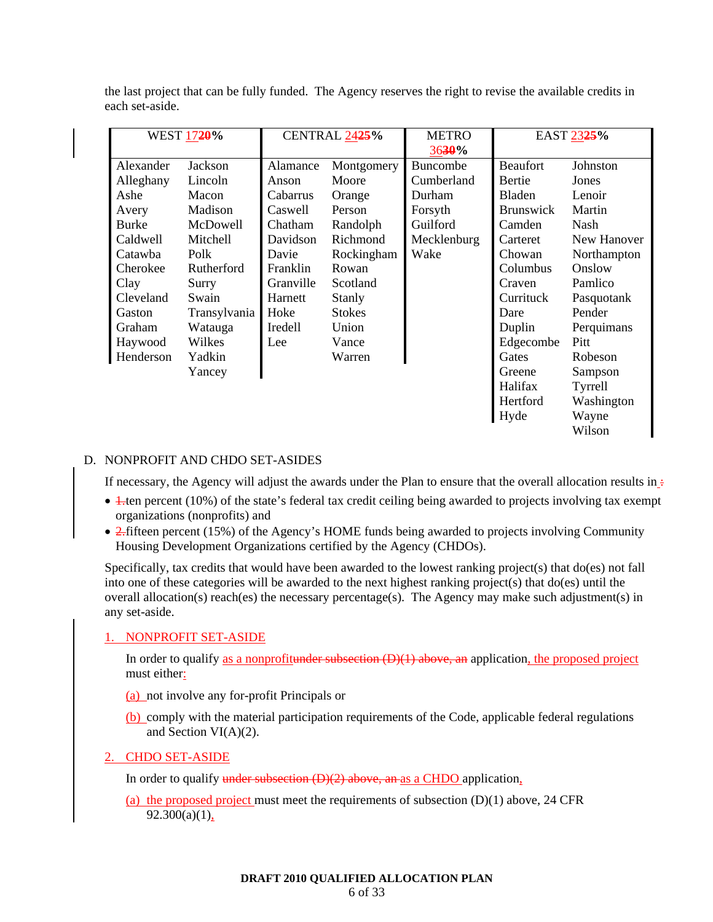| WEST 1720%   |              | CENTRAL 2425% |               | <b>METRO</b><br>3630% | EAST 2325%       |             |
|--------------|--------------|---------------|---------------|-----------------------|------------------|-------------|
| Alexander    | Jackson      | Alamance      | Montgomery    | <b>Buncombe</b>       | <b>Beaufort</b>  | Johnston    |
| Alleghany    | Lincoln      | Anson         | Moore         | Cumberland            | Bertie           | Jones       |
| Ashe         | Macon        | Cabarrus      | Orange        | Durham                | Bladen           | Lenoir      |
| Avery        | Madison      | Caswell       | Person        | Forsyth               | <b>Brunswick</b> | Martin      |
| <b>Burke</b> | McDowell     | Chatham       | Randolph      | Guilford              | Camden           | Nash        |
| Caldwell     | Mitchell     | Davidson      | Richmond      | Mecklenburg           | Carteret         | New Hanover |
| Catawba      | Polk         | Davie         | Rockingham    | Wake                  | Chowan           | Northampton |
| Cherokee     | Rutherford   | Franklin      | Rowan         |                       | Columbus         | Onslow      |
| Clay         | Surry        | Granville     | Scotland      |                       | Craven           | Pamlico     |
| Cleveland    | Swain        | Harnett       | Stanly        |                       | Currituck        | Pasquotank  |
| Gaston       | Transylvania | Hoke          | <b>Stokes</b> |                       | Dare             | Pender      |
| Graham       | Watauga      | Iredell       | Union         |                       | Duplin           | Perquimans  |
| Haywood      | Wilkes       | Lee           | Vance         |                       | Edgecombe        | Pitt        |
| Henderson    | Yadkin       |               | Warren        |                       | Gates            | Robeson     |
|              | Yancey       |               |               |                       | Greene           | Sampson     |
|              |              |               |               |                       | Halifax          | Tyrrell     |
|              |              |               |               |                       | Hertford         | Washington  |
|              |              |               |               |                       | Hyde             | Wayne       |
|              |              |               |               |                       |                  | Wilson      |

the last project that can be fully funded. The Agency reserves the right to revise the available credits in each set-aside.

### D. NONPROFIT AND CHDO SET-ASIDES

If necessary, the Agency will adjust the awards under the Plan to ensure that the overall allocation results in  $\div$ 

- $\overline{1}$ -ten percent (10%) of the state's federal tax credit ceiling being awarded to projects involving tax exempt organizations (nonprofits) and
- 2. fifteen percent (15%) of the Agency's HOME funds being awarded to projects involving Community Housing Development Organizations certified by the Agency (CHDOs).

Specifically, tax credits that would have been awarded to the lowest ranking project(s) that do(es) not fall into one of these categories will be awarded to the next highest ranking project(s) that do(es) until the overall allocation(s) reach(es) the necessary percentage(s). The Agency may make such adjustment(s) in any set-aside.

#### 1. NONPROFIT SET-ASIDE

In order to qualify as a nonprofitunder subsection  $(D)(1)$  above, an application, the proposed project must either:

- (a) not involve any for-profit Principals or
- (b) comply with the material participation requirements of the Code, applicable federal regulations and Section VI(A)(2).

#### 2. CHDO SET-ASIDE

In order to qualify under subsection  $(D)(2)$  above, an as a CHDO application,

(a) the proposed project must meet the requirements of subsection  $(D)(1)$  above, 24 CFR  $92.300(a)(1)$ ,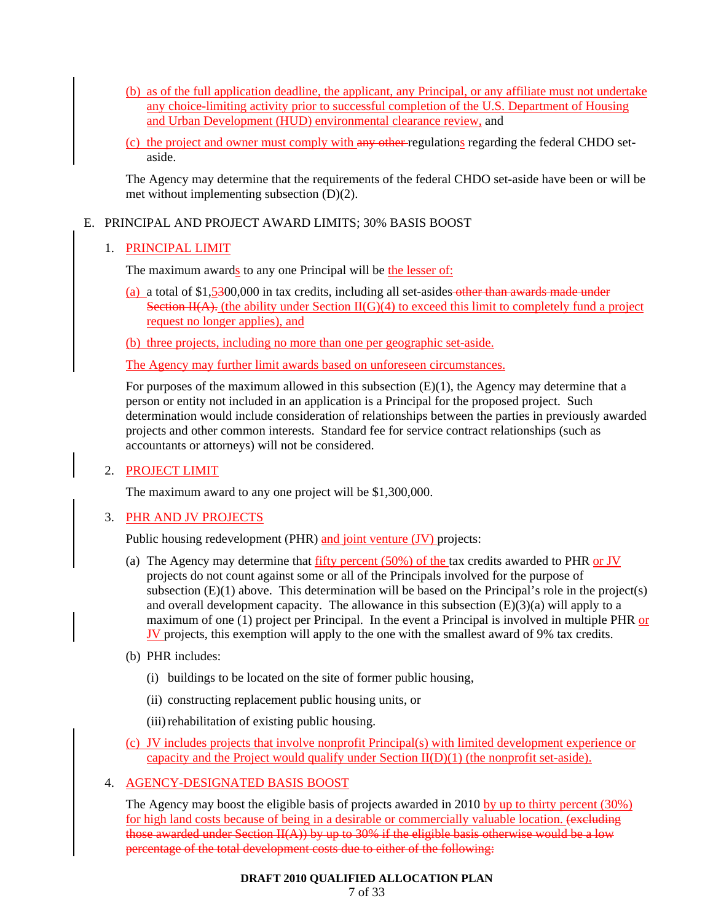- (b) as of the full application deadline, the applicant, any Principal, or any affiliate must not undertake any choice-limiting activity prior to successful completion of the U.S. Department of Housing and Urban Development (HUD) environmental clearance review, and
- (c) the project and owner must comply with any other regulations regarding the federal CHDO setaside.

The Agency may determine that the requirements of the federal CHDO set-aside have been or will be met without implementing subsection (D)(2).

# E. PRINCIPAL AND PROJECT AWARD LIMITS; 30% BASIS BOOST

# 1. PRINCIPAL LIMIT

The maximum awards to any one Principal will be the lesser of:

(a) a total of \$1,5300,000 in tax credits, including all set-asides other than awards made under Section  $H(A)$ . (the ability under Section  $H(G)(4)$  to exceed this limit to completely fund a project request no longer applies), and

(b) three projects, including no more than one per geographic set-aside.

The Agency may further limit awards based on unforeseen circumstances.

For purposes of the maximum allowed in this subsection  $(E)(1)$ , the Agency may determine that a person or entity not included in an application is a Principal for the proposed project. Such determination would include consideration of relationships between the parties in previously awarded projects and other common interests. Standard fee for service contract relationships (such as accountants or attorneys) will not be considered.

# 2. PROJECT LIMIT

The maximum award to any one project will be \$1,300,000.

# 3. PHR AND JV PROJECTS

Public housing redevelopment (PHR) and joint venture (JV) projects:

- (a) The Agency may determine that  $f_{\text{lift}}$  percent (50%) of the tax credits awarded to PHR or JV projects do not count against some or all of the Principals involved for the purpose of subsection  $(E)(1)$  above. This determination will be based on the Principal's role in the project(s) and overall development capacity. The allowance in this subsection  $(E)(3)(a)$  will apply to a maximum of one (1) project per Principal. In the event a Principal is involved in multiple PHR or JV projects, this exemption will apply to the one with the smallest award of 9% tax credits.
- (b) PHR includes:
	- (i) buildings to be located on the site of former public housing,
	- (ii) constructing replacement public housing units, or
	- (iii) rehabilitation of existing public housing.
- (c) JV includes projects that involve nonprofit Principal(s) with limited development experience or capacity and the Project would qualify under Section  $II(D)(1)$  (the nonprofit set-aside).

# 4. AGENCY-DESIGNATED BASIS BOOST

The Agency may boost the eligible basis of projects awarded in 2010 by up to thirty percent (30%) for high land costs because of being in a desirable or commercially valuable location. (excluding those awarded under Section  $II(A)$ ) by up to 30% if the eligible basis otherwise would be a low percentage of the total development costs due to either of the following: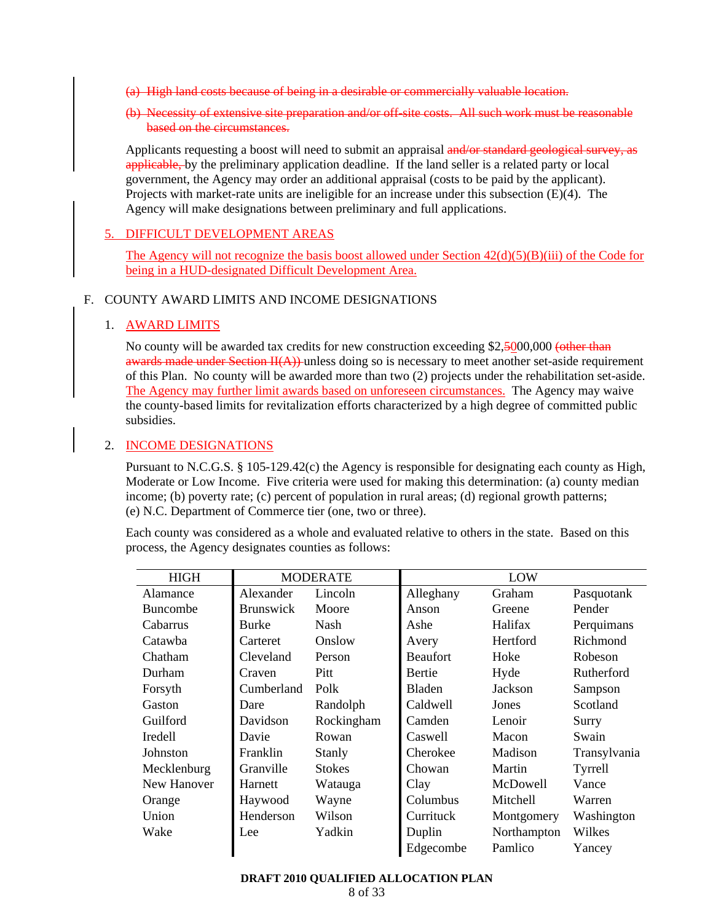- (a) High land costs because of being in a desirable or commercially valuable location.
- (b) Necessity of extensive site preparation and/or off-site costs. All such work must be reasonable based on the circumstances.

Applicants requesting a boost will need to submit an appraisal and/or standard geological survey, as applicable, by the preliminary application deadline. If the land seller is a related party or local government, the Agency may order an additional appraisal (costs to be paid by the applicant). Projects with market-rate units are ineligible for an increase under this subsection  $(E)(4)$ . The Agency will make designations between preliminary and full applications.

### 5. DIFFICULT DEVELOPMENT AREAS

The Agency will not recognize the basis boost allowed under Section  $42(d)(5)(B)(iii)$  of the Code for being in a HUD-designated Difficult Development Area.

#### F. COUNTY AWARD LIMITS AND INCOME DESIGNATIONS

### 1. AWARD LIMITS

No county will be awarded tax credits for new construction exceeding \$2,5000,000 (other than awards made under Section  $H(A)$ ) unless doing so is necessary to meet another set-aside requirement of this Plan. No county will be awarded more than two (2) projects under the rehabilitation set-aside. The Agency may further limit awards based on unforeseen circumstances. The Agency may waive the county-based limits for revitalization efforts characterized by a high degree of committed public subsidies.

### 2. INCOME DESIGNATIONS

Pursuant to N.C.G.S. § 105-129.42(c) the Agency is responsible for designating each county as High, Moderate or Low Income. Five criteria were used for making this determination: (a) county median income; (b) poverty rate; (c) percent of population in rural areas; (d) regional growth patterns; (e) N.C. Department of Commerce tier (one, two or three).

Each county was considered as a whole and evaluated relative to others in the state. Based on this process, the Agency designates counties as follows:

| <b>HIGH</b>     | <b>MODERATE</b>  |               | LOW             |             |              |
|-----------------|------------------|---------------|-----------------|-------------|--------------|
| Alamance        | Alexander        | Lincoln       | Alleghany       | Graham      | Pasquotank   |
| <b>Buncombe</b> | <b>Brunswick</b> | Moore         | Anson           | Greene      | Pender       |
| Cabarrus        | <b>Burke</b>     | Nash          | Ashe            | Halifax     | Perquimans   |
| Catawba         | Carteret         | Onslow        | Avery           | Hertford    | Richmond     |
| Chatham         | Cleveland        | Person        | <b>Beaufort</b> | Hoke        | Robeson      |
| Durham          | Craven           | Pitt          | Bertie          | Hyde        | Rutherford   |
| Forsyth         | Cumberland       | Polk          | <b>Bladen</b>   | Jackson     | Sampson      |
| Gaston          | Dare             | Randolph      | Caldwell        | Jones       | Scotland     |
| Guilford        | Davidson         | Rockingham    | Camden          | Lenoir      | Surry        |
| <b>Iredell</b>  | Davie            | Rowan         | Caswell         | Macon       | Swain        |
| Johnston        | Franklin         | Stanly        | Cherokee        | Madison     | Transylvania |
| Mecklenburg     | Granville        | <b>Stokes</b> | Chowan          | Martin      | Tyrrell      |
| New Hanover     | Harnett          | Watauga       | Clay            | McDowell    | Vance        |
| Orange          | Haywood          | Wayne         | Columbus        | Mitchell    | Warren       |
| Union           | Henderson        | Wilson        | Currituck       | Montgomery  | Washington   |
| Wake            | Lee              | Yadkin        | Duplin          | Northampton | Wilkes       |
|                 |                  |               | Edgecombe       | Pamlico     | Yancey       |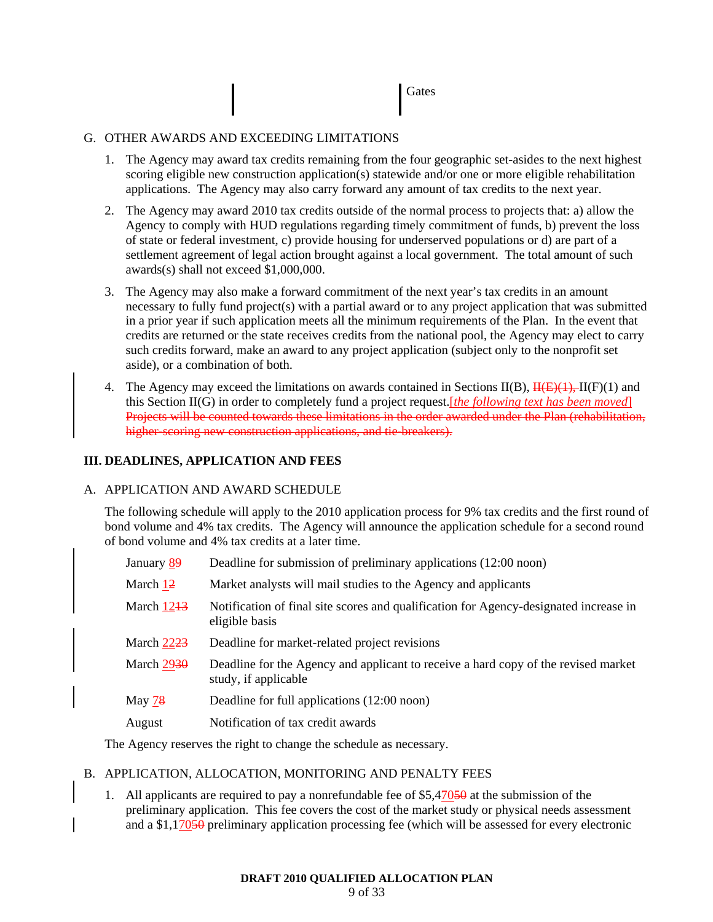**Gates** 

### G. OTHER AWARDS AND EXCEEDING LIMITATIONS

- 1. The Agency may award tax credits remaining from the four geographic set-asides to the next highest scoring eligible new construction application(s) statewide and/or one or more eligible rehabilitation applications. The Agency may also carry forward any amount of tax credits to the next year.
- 2. The Agency may award 2010 tax credits outside of the normal process to projects that: a) allow the Agency to comply with HUD regulations regarding timely commitment of funds, b) prevent the loss of state or federal investment, c) provide housing for underserved populations or d) are part of a settlement agreement of legal action brought against a local government. The total amount of such awards(s) shall not exceed \$1,000,000.
- 3. The Agency may also make a forward commitment of the next year's tax credits in an amount necessary to fully fund project(s) with a partial award or to any project application that was submitted in a prior year if such application meets all the minimum requirements of the Plan. In the event that credits are returned or the state receives credits from the national pool, the Agency may elect to carry such credits forward, make an award to any project application (subject only to the nonprofit set aside), or a combination of both.
- 4. The Agency may exceed the limitations on awards contained in Sections II(B),  $\overline{H(E)(1)}$ , II(F)(1) and this Section II(G) in order to completely fund a project request.[*the following text has been moved*] Projects will be counted towards these limitations in the order awarded under the Plan (rehabilitation, higher-scoring new construction applications, and tie-breakers).

# **III. DEADLINES, APPLICATION AND FEES**

### A. APPLICATION AND AWARD SCHEDULE

The following schedule will apply to the 2010 application process for 9% tax credits and the first round of bond volume and 4% tax credits. The Agency will announce the application schedule for a second round of bond volume and 4% tax credits at a later time.

- January 89 Deadline for submission of preliminary applications (12:00 noon)
- March 12 Market analysts will mail studies to the Agency and applicants
- March  $1213$  Notification of final site scores and qualification for Agency-designated increase in eligible basis
- March  $\frac{2223}{ }$  Deadline for market-related project revisions
- March  $2930$  Deadline for the Agency and applicant to receive a hard copy of the revised market study, if applicable
- May 78 Deadline for full applications (12:00 noon)
- August Notification of tax credit awards

The Agency reserves the right to change the schedule as necessary.

### B. APPLICATION, ALLOCATION, MONITORING AND PENALTY FEES

1. All applicants are required to pay a nonrefundable fee of  $$5,47050$  at the submission of the preliminary application. This fee covers the cost of the market study or physical needs assessment and a \$1,17050 preliminary application processing fee (which will be assessed for every electronic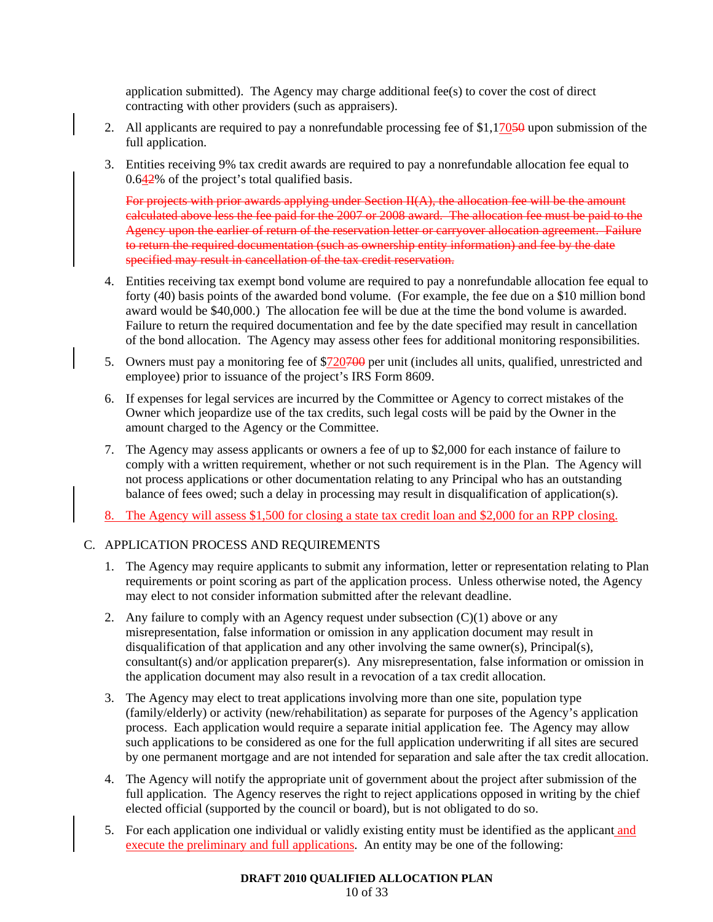application submitted). The Agency may charge additional fee(s) to cover the cost of direct contracting with other providers (such as appraisers).

- 2. All applicants are required to pay a nonrefundable processing fee of  $$1,17050$  upon submission of the full application.
- 3. Entities receiving 9% tax credit awards are required to pay a nonrefundable allocation fee equal to 0.642% of the project's total qualified basis.

For projects with prior awards applying under Section  $H(A)$ , the allocation fee will be the amount calculated above less the fee paid for the 2007 or 2008 award. The allocation fee must be paid to the Agency upon the earlier of return of the reservation letter or carryover allocation agreement. Failure to return the required documentation (such as ownership entity information) and fee by the date specified may result in cancellation of the tax credit reservation.

- 4. Entities receiving tax exempt bond volume are required to pay a nonrefundable allocation fee equal to forty (40) basis points of the awarded bond volume. (For example, the fee due on a \$10 million bond award would be \$40,000.) The allocation fee will be due at the time the bond volume is awarded. Failure to return the required documentation and fee by the date specified may result in cancellation of the bond allocation. The Agency may assess other fees for additional monitoring responsibilities.
- 5. Owners must pay a monitoring fee of \$720<del>700</del> per unit (includes all units, qualified, unrestricted and employee) prior to issuance of the project's IRS Form 8609.
- 6. If expenses for legal services are incurred by the Committee or Agency to correct mistakes of the Owner which jeopardize use of the tax credits, such legal costs will be paid by the Owner in the amount charged to the Agency or the Committee.
- 7. The Agency may assess applicants or owners a fee of up to \$2,000 for each instance of failure to comply with a written requirement, whether or not such requirement is in the Plan. The Agency will not process applications or other documentation relating to any Principal who has an outstanding balance of fees owed; such a delay in processing may result in disqualification of application(s).
- 8. The Agency will assess \$1,500 for closing a state tax credit loan and \$2,000 for an RPP closing.

### C. APPLICATION PROCESS AND REQUIREMENTS

- 1. The Agency may require applicants to submit any information, letter or representation relating to Plan requirements or point scoring as part of the application process. Unless otherwise noted, the Agency may elect to not consider information submitted after the relevant deadline.
- 2. Any failure to comply with an Agency request under subsection  $(C)(1)$  above or any misrepresentation, false information or omission in any application document may result in disqualification of that application and any other involving the same owner(s), Principal(s), consultant(s) and/or application preparer(s). Any misrepresentation, false information or omission in the application document may also result in a revocation of a tax credit allocation.
- 3. The Agency may elect to treat applications involving more than one site, population type (family/elderly) or activity (new/rehabilitation) as separate for purposes of the Agency's application process. Each application would require a separate initial application fee. The Agency may allow such applications to be considered as one for the full application underwriting if all sites are secured by one permanent mortgage and are not intended for separation and sale after the tax credit allocation.
- 4. The Agency will notify the appropriate unit of government about the project after submission of the full application. The Agency reserves the right to reject applications opposed in writing by the chief elected official (supported by the council or board), but is not obligated to do so.
- 5. For each application one individual or validly existing entity must be identified as the applicant and execute the preliminary and full applications. An entity may be one of the following: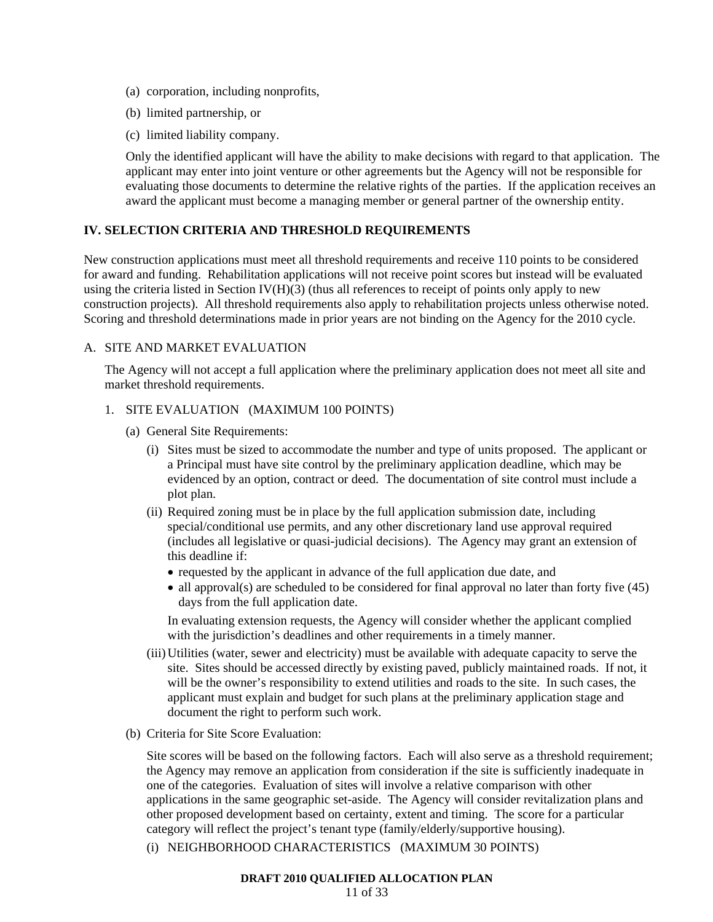- (a) corporation, including nonprofits,
- (b) limited partnership, or
- (c) limited liability company.

Only the identified applicant will have the ability to make decisions with regard to that application. The applicant may enter into joint venture or other agreements but the Agency will not be responsible for evaluating those documents to determine the relative rights of the parties. If the application receives an award the applicant must become a managing member or general partner of the ownership entity.

# **IV. SELECTION CRITERIA AND THRESHOLD REQUIREMENTS**

New construction applications must meet all threshold requirements and receive 110 points to be considered for award and funding. Rehabilitation applications will not receive point scores but instead will be evaluated using the criteria listed in Section IV $(H)(3)$  (thus all references to receipt of points only apply to new construction projects). All threshold requirements also apply to rehabilitation projects unless otherwise noted. Scoring and threshold determinations made in prior years are not binding on the Agency for the 2010 cycle.

### A. SITE AND MARKET EVALUATION

The Agency will not accept a full application where the preliminary application does not meet all site and market threshold requirements.

### 1. SITE EVALUATION (MAXIMUM 100 POINTS)

- (a) General Site Requirements:
	- (i) Sites must be sized to accommodate the number and type of units proposed. The applicant or a Principal must have site control by the preliminary application deadline, which may be evidenced by an option, contract or deed. The documentation of site control must include a plot plan.
	- (ii) Required zoning must be in place by the full application submission date, including special/conditional use permits, and any other discretionary land use approval required (includes all legislative or quasi-judicial decisions). The Agency may grant an extension of this deadline if:
		- requested by the applicant in advance of the full application due date, and
		- all approval(s) are scheduled to be considered for final approval no later than forty five (45) days from the full application date.

In evaluating extension requests, the Agency will consider whether the applicant complied with the jurisdiction's deadlines and other requirements in a timely manner.

- (iii) Utilities (water, sewer and electricity) must be available with adequate capacity to serve the site. Sites should be accessed directly by existing paved, publicly maintained roads. If not, it will be the owner's responsibility to extend utilities and roads to the site. In such cases, the applicant must explain and budget for such plans at the preliminary application stage and document the right to perform such work.
- (b) Criteria for Site Score Evaluation:

Site scores will be based on the following factors. Each will also serve as a threshold requirement; the Agency may remove an application from consideration if the site is sufficiently inadequate in one of the categories. Evaluation of sites will involve a relative comparison with other applications in the same geographic set-aside. The Agency will consider revitalization plans and other proposed development based on certainty, extent and timing. The score for a particular category will reflect the project's tenant type (family/elderly/supportive housing).

(i) NEIGHBORHOOD CHARACTERISTICS (MAXIMUM 30 POINTS)

#### **DRAFT 2010 QUALIFIED ALLOCATION PLAN**

11 of 33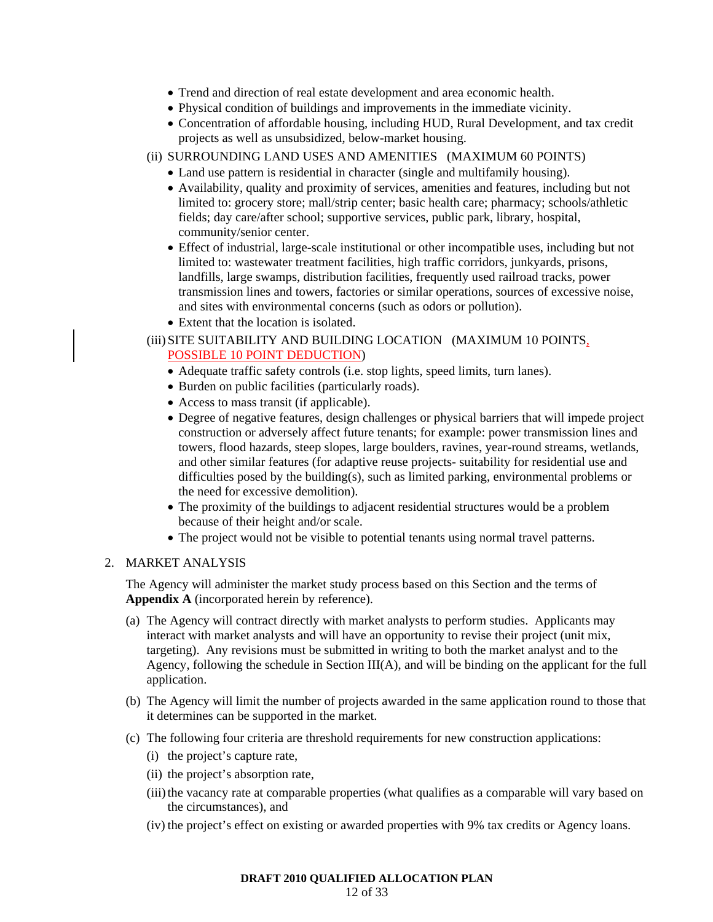- Trend and direction of real estate development and area economic health.
- Physical condition of buildings and improvements in the immediate vicinity.
- Concentration of affordable housing, including HUD, Rural Development, and tax credit projects as well as unsubsidized, below-market housing.
- (ii) SURROUNDING LAND USES AND AMENITIES (MAXIMUM 60 POINTS)
	- Land use pattern is residential in character (single and multifamily housing).
	- Availability, quality and proximity of services, amenities and features, including but not limited to: grocery store; mall/strip center; basic health care; pharmacy; schools/athletic fields; day care/after school; supportive services, public park, library, hospital, community/senior center.
	- Effect of industrial, large-scale institutional or other incompatible uses, including but not limited to: wastewater treatment facilities, high traffic corridors, junkyards, prisons, landfills, large swamps, distribution facilities, frequently used railroad tracks, power transmission lines and towers, factories or similar operations, sources of excessive noise, and sites with environmental concerns (such as odors or pollution).
	- Extent that the location is isolated.

# (iii) SITE SUITABILITY AND BUILDING LOCATION (MAXIMUM 10 POINTS, POSSIBLE 10 POINT DEDUCTION)

- Adequate traffic safety controls (i.e. stop lights, speed limits, turn lanes).
- Burden on public facilities (particularly roads).
- Access to mass transit (if applicable).
- Degree of negative features, design challenges or physical barriers that will impede project construction or adversely affect future tenants; for example: power transmission lines and towers, flood hazards, steep slopes, large boulders, ravines, year-round streams, wetlands, and other similar features (for adaptive reuse projects- suitability for residential use and difficulties posed by the building(s), such as limited parking, environmental problems or the need for excessive demolition).
- The proximity of the buildings to adjacent residential structures would be a problem because of their height and/or scale.
- The project would not be visible to potential tenants using normal travel patterns.

# 2. MARKET ANALYSIS

The Agency will administer the market study process based on this Section and the terms of **Appendix A** (incorporated herein by reference).

- (a) The Agency will contract directly with market analysts to perform studies. Applicants may interact with market analysts and will have an opportunity to revise their project (unit mix, targeting). Any revisions must be submitted in writing to both the market analyst and to the Agency, following the schedule in Section III(A), and will be binding on the applicant for the full application.
- (b) The Agency will limit the number of projects awarded in the same application round to those that it determines can be supported in the market.
- (c) The following four criteria are threshold requirements for new construction applications:
	- (i) the project's capture rate,
	- (ii) the project's absorption rate,
	- (iii) the vacancy rate at comparable properties (what qualifies as a comparable will vary based on the circumstances), and
	- (iv) the project's effect on existing or awarded properties with 9% tax credits or Agency loans.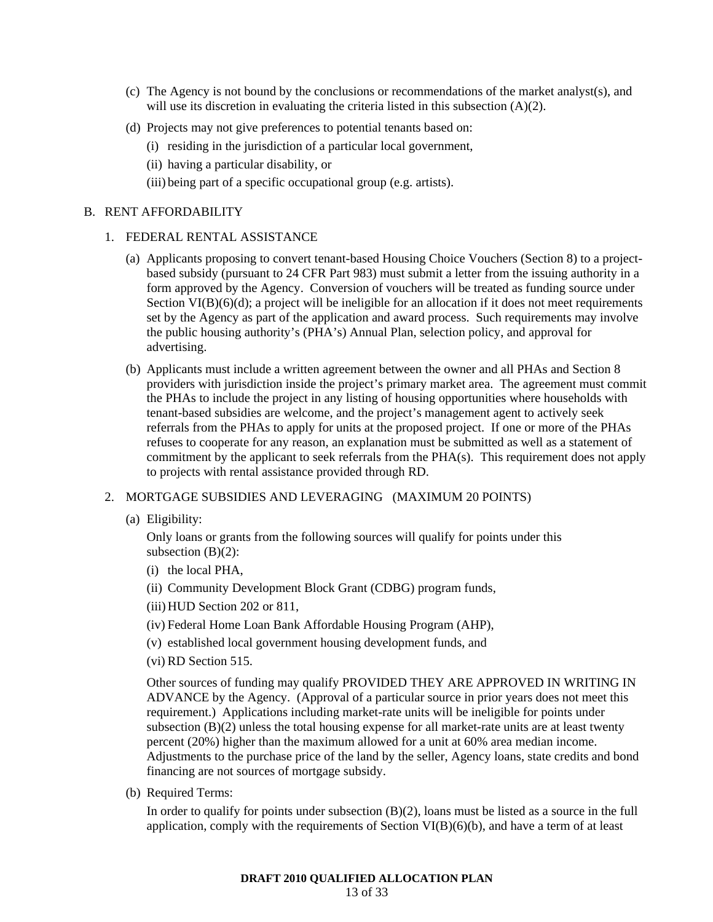- (c) The Agency is not bound by the conclusions or recommendations of the market analyst(s), and will use its discretion in evaluating the criteria listed in this subsection (A)(2).
- (d) Projects may not give preferences to potential tenants based on:
	- (i) residing in the jurisdiction of a particular local government,
	- (ii) having a particular disability, or
	- (iii) being part of a specific occupational group (e.g. artists).

#### B. RENT AFFORDABILITY

#### 1. FEDERAL RENTAL ASSISTANCE

- (a) Applicants proposing to convert tenant-based Housing Choice Vouchers (Section 8) to a projectbased subsidy (pursuant to 24 CFR Part 983) must submit a letter from the issuing authority in a form approved by the Agency. Conversion of vouchers will be treated as funding source under Section  $VI(B)(6)(d)$ ; a project will be ineligible for an allocation if it does not meet requirements set by the Agency as part of the application and award process. Such requirements may involve the public housing authority's (PHA's) Annual Plan, selection policy, and approval for advertising.
- (b) Applicants must include a written agreement between the owner and all PHAs and Section 8 providers with jurisdiction inside the project's primary market area. The agreement must commit the PHAs to include the project in any listing of housing opportunities where households with tenant-based subsidies are welcome, and the project's management agent to actively seek referrals from the PHAs to apply for units at the proposed project. If one or more of the PHAs refuses to cooperate for any reason, an explanation must be submitted as well as a statement of commitment by the applicant to seek referrals from the PHA(s). This requirement does not apply to projects with rental assistance provided through RD.

#### 2. MORTGAGE SUBSIDIES AND LEVERAGING (MAXIMUM 20 POINTS)

(a) Eligibility:

Only loans or grants from the following sources will qualify for points under this subsection  $(B)(2)$ :

- (i) the local PHA,
- (ii) Community Development Block Grant (CDBG) program funds,
- (iii) HUD Section 202 or 811,
- (iv) Federal Home Loan Bank Affordable Housing Program (AHP),
- (v) established local government housing development funds, and
- (vi) RD Section 515.

Other sources of funding may qualify PROVIDED THEY ARE APPROVED IN WRITING IN ADVANCE by the Agency. (Approval of a particular source in prior years does not meet this requirement.) Applications including market-rate units will be ineligible for points under subsection  $(B)(2)$  unless the total housing expense for all market-rate units are at least twenty percent (20%) higher than the maximum allowed for a unit at 60% area median income. Adjustments to the purchase price of the land by the seller, Agency loans, state credits and bond financing are not sources of mortgage subsidy.

(b) Required Terms:

In order to qualify for points under subsection (B)(2), loans must be listed as a source in the full application, comply with the requirements of Section VI(B)(6)(b), and have a term of at least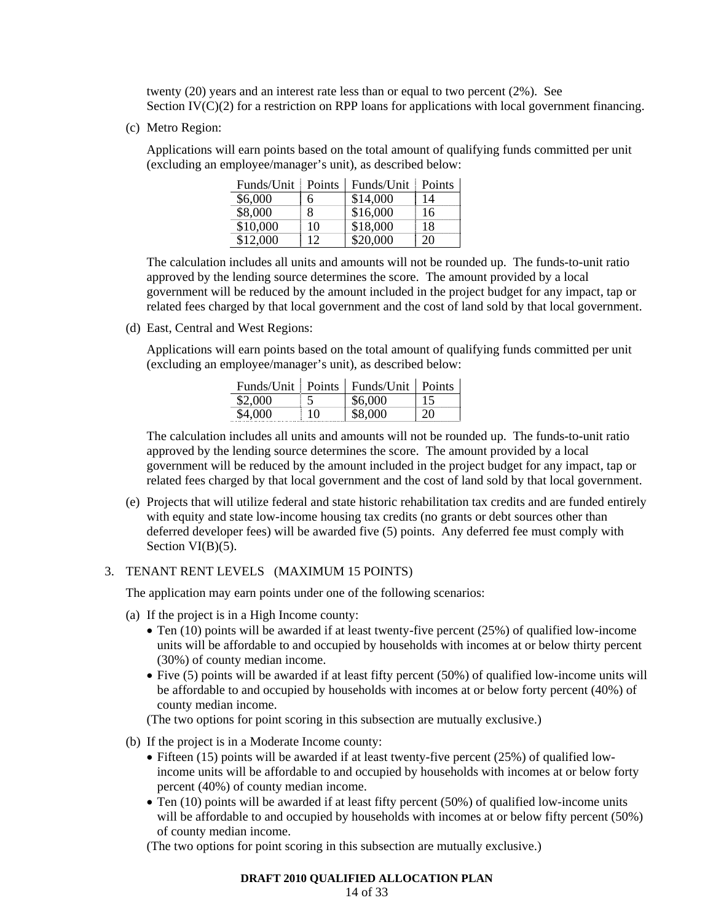twenty (20) years and an interest rate less than or equal to two percent (2%). See Section IV(C)(2) for a restriction on RPP loans for applications with local government financing.

(c) Metro Region:

Applications will earn points based on the total amount of qualifying funds committed per unit (excluding an employee/manager's unit), as described below:

| Funds/Unit | <b>Points</b> | Funds/Unit | <b>Points</b> |
|------------|---------------|------------|---------------|
| \$6,000    | 6             | \$14,000   | 14            |
| \$8,000    | 8             | \$16,000   | 16            |
| \$10,000   | 10            | \$18,000   | 18            |
| \$12,000   | 12            | \$20,000   | 20            |

Funds/Unit Points Funds/Unit Points

The calculation includes all units and amounts will not be rounded up. The funds-to-unit ratio approved by the lending source determines the score. The amount provided by a local government will be reduced by the amount included in the project budget for any impact, tap or related fees charged by that local government and the cost of land sold by that local government.

(d) East, Central and West Regions:

Applications will earn points based on the total amount of qualifying funds committed per unit (excluding an employee/manager's unit), as described below:

|         |    | Funds/Unit   Points   Funds/Unit   Points |    |
|---------|----|-------------------------------------------|----|
| \$2,000 |    | \$6,000                                   |    |
| \$4,000 | 10 | \$8,000                                   | 20 |

The calculation includes all units and amounts will not be rounded up. The funds-to-unit ratio approved by the lending source determines the score. The amount provided by a local government will be reduced by the amount included in the project budget for any impact, tap or related fees charged by that local government and the cost of land sold by that local government.

(e) Projects that will utilize federal and state historic rehabilitation tax credits and are funded entirely with equity and state low-income housing tax credits (no grants or debt sources other than deferred developer fees) will be awarded five (5) points. Any deferred fee must comply with Section VI(B)(5).

#### 3. TENANT RENT LEVELS (MAXIMUM 15 POINTS)

The application may earn points under one of the following scenarios:

- (a) If the project is in a High Income county:
	- Ten (10) points will be awarded if at least twenty-five percent (25%) of qualified low-income units will be affordable to and occupied by households with incomes at or below thirty percent (30%) of county median income.
	- Five (5) points will be awarded if at least fifty percent (50%) of qualified low-income units will be affordable to and occupied by households with incomes at or below forty percent (40%) of county median income.

(The two options for point scoring in this subsection are mutually exclusive.)

- (b) If the project is in a Moderate Income county:
	- Fifteen (15) points will be awarded if at least twenty-five percent (25%) of qualified lowincome units will be affordable to and occupied by households with incomes at or below forty percent (40%) of county median income.
	- Ten (10) points will be awarded if at least fifty percent (50%) of qualified low-income units will be affordable to and occupied by households with incomes at or below fifty percent (50%) of county median income.

(The two options for point scoring in this subsection are mutually exclusive.)

#### **DRAFT 2010 QUALIFIED ALLOCATION PLAN**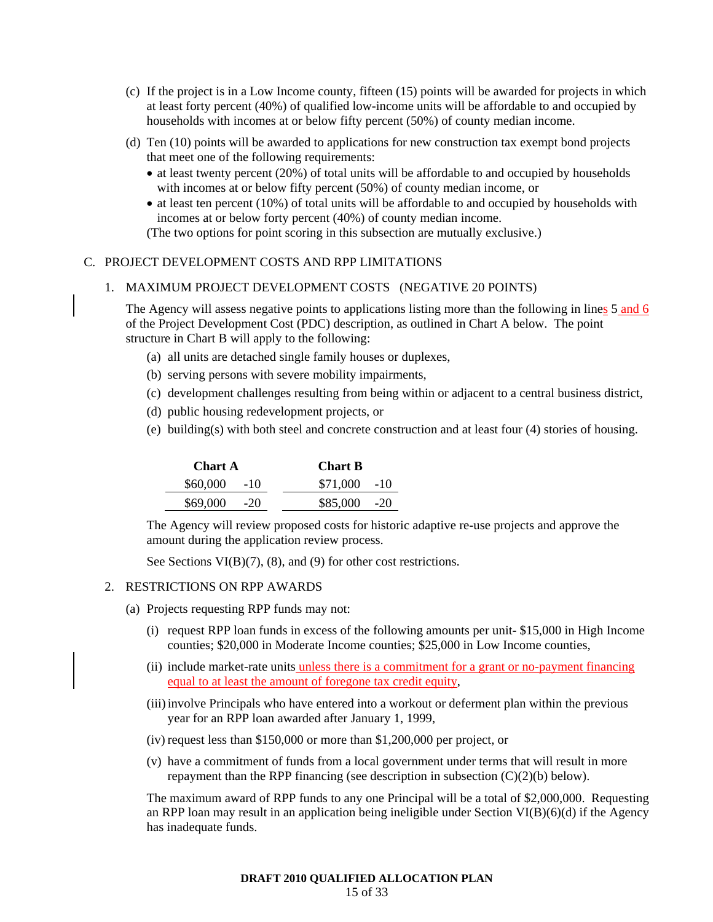- (c) If the project is in a Low Income county, fifteen (15) points will be awarded for projects in which at least forty percent (40%) of qualified low-income units will be affordable to and occupied by households with incomes at or below fifty percent (50%) of county median income.
- (d) Ten (10) points will be awarded to applications for new construction tax exempt bond projects that meet one of the following requirements:
	- at least twenty percent (20%) of total units will be affordable to and occupied by households with incomes at or below fifty percent (50%) of county median income, or
	- at least ten percent (10%) of total units will be affordable to and occupied by households with incomes at or below forty percent (40%) of county median income.

(The two options for point scoring in this subsection are mutually exclusive.)

### C. PROJECT DEVELOPMENT COSTS AND RPP LIMITATIONS

### 1. MAXIMUM PROJECT DEVELOPMENT COSTS (NEGATIVE 20 POINTS)

The Agency will assess negative points to applications listing more than the following in lines 5 and 6 of the Project Development Cost (PDC) description, as outlined in Chart A below. The point structure in Chart B will apply to the following:

- (a) all units are detached single family houses or duplexes,
- (b) serving persons with severe mobility impairments,
- (c) development challenges resulting from being within or adjacent to a central business district,
- (d) public housing redevelopment projects, or
- (e) building(s) with both steel and concrete construction and at least four (4) stories of housing.

| <b>Chart A</b> | <b>Chart B</b> |  |  |
|----------------|----------------|--|--|
| $$60,000$ -10  | $$71,000$ -10  |  |  |
| $$69,000$ -20  | $$85,000$ -20  |  |  |

The Agency will review proposed costs for historic adaptive re-use projects and approve the amount during the application review process.

See Sections VI(B)(7), (8), and (9) for other cost restrictions.

#### 2. RESTRICTIONS ON RPP AWARDS

- (a) Projects requesting RPP funds may not:
	- (i) request RPP loan funds in excess of the following amounts per unit- \$15,000 in High Income counties; \$20,000 in Moderate Income counties; \$25,000 in Low Income counties,
	- (ii) include market-rate units unless there is a commitment for a grant or no-payment financing equal to at least the amount of foregone tax credit equity,
	- (iii) involve Principals who have entered into a workout or deferment plan within the previous year for an RPP loan awarded after January 1, 1999,
	- (iv) request less than \$150,000 or more than \$1,200,000 per project, or
	- (v) have a commitment of funds from a local government under terms that will result in more repayment than the RPP financing (see description in subsection (C)(2)(b) below).

The maximum award of RPP funds to any one Principal will be a total of \$2,000,000. Requesting an RPP loan may result in an application being ineligible under Section VI(B)(6)(d) if the Agency has inadequate funds.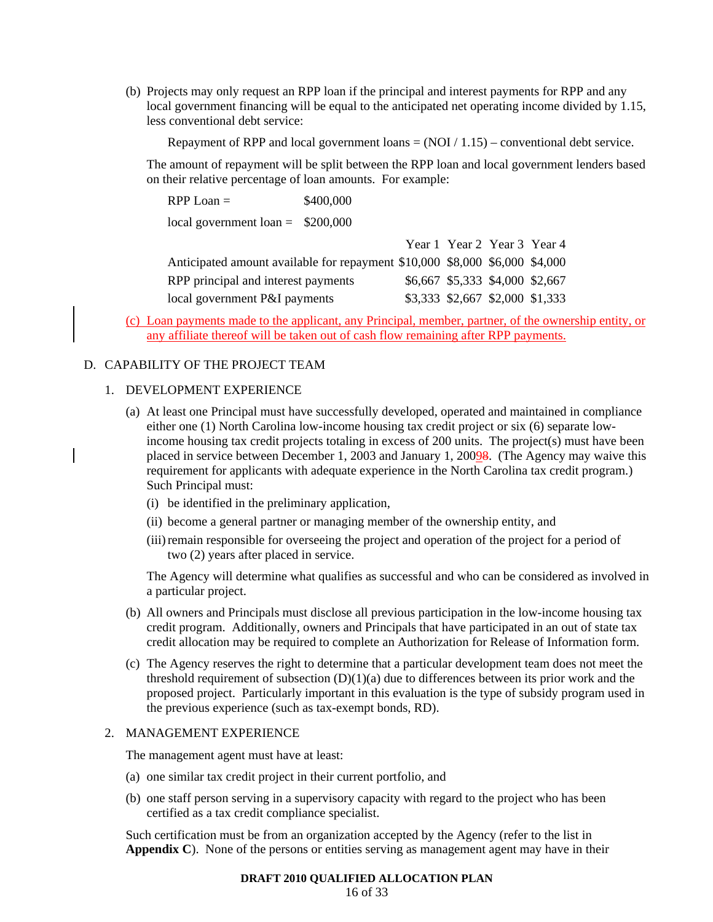(b) Projects may only request an RPP loan if the principal and interest payments for RPP and any local government financing will be equal to the anticipated net operating income divided by 1.15, less conventional debt service:

Repayment of RPP and local government loans  $= (NOI / 1.15)$  – conventional debt service.

The amount of repayment will be split between the RPP loan and local government lenders based on their relative percentage of loan amounts. For example:

| $RPP Loan =$                                                                | \$400,000 |                                 |  |
|-----------------------------------------------------------------------------|-----------|---------------------------------|--|
| local government loan = $$200,000$                                          |           |                                 |  |
|                                                                             |           | Year 1 Year 2 Year 3 Year 4     |  |
| Anticipated amount available for repayment \$10,000 \$8,000 \$6,000 \$4,000 |           |                                 |  |
| RPP principal and interest payments                                         |           | \$6,667 \$5,333 \$4,000 \$2,667 |  |
| local government P&I payments                                               |           | \$3,333 \$2,667 \$2,000 \$1,333 |  |

(c) Loan payments made to the applicant, any Principal, member, partner, of the ownership entity, or any affiliate thereof will be taken out of cash flow remaining after RPP payments.

# D. CAPABILITY OF THE PROJECT TEAM

#### 1. DEVELOPMENT EXPERIENCE

- (a) At least one Principal must have successfully developed, operated and maintained in compliance either one (1) North Carolina low-income housing tax credit project or six (6) separate lowincome housing tax credit projects totaling in excess of 200 units. The project(s) must have been placed in service between December 1, 2003 and January 1, 20098. (The Agency may waive this requirement for applicants with adequate experience in the North Carolina tax credit program.) Such Principal must:
	- (i) be identified in the preliminary application,
	- (ii) become a general partner or managing member of the ownership entity, and
	- (iii) remain responsible for overseeing the project and operation of the project for a period of two (2) years after placed in service.

The Agency will determine what qualifies as successful and who can be considered as involved in a particular project.

- (b) All owners and Principals must disclose all previous participation in the low-income housing tax credit program. Additionally, owners and Principals that have participated in an out of state tax credit allocation may be required to complete an Authorization for Release of Information form.
- (c) The Agency reserves the right to determine that a particular development team does not meet the threshold requirement of subsection  $(D)(1)(a)$  due to differences between its prior work and the proposed project. Particularly important in this evaluation is the type of subsidy program used in the previous experience (such as tax-exempt bonds, RD).

#### 2. MANAGEMENT EXPERIENCE

The management agent must have at least:

- (a) one similar tax credit project in their current portfolio, and
- (b) one staff person serving in a supervisory capacity with regard to the project who has been certified as a tax credit compliance specialist.

Such certification must be from an organization accepted by the Agency (refer to the list in **Appendix C**). None of the persons or entities serving as management agent may have in their

16 of 33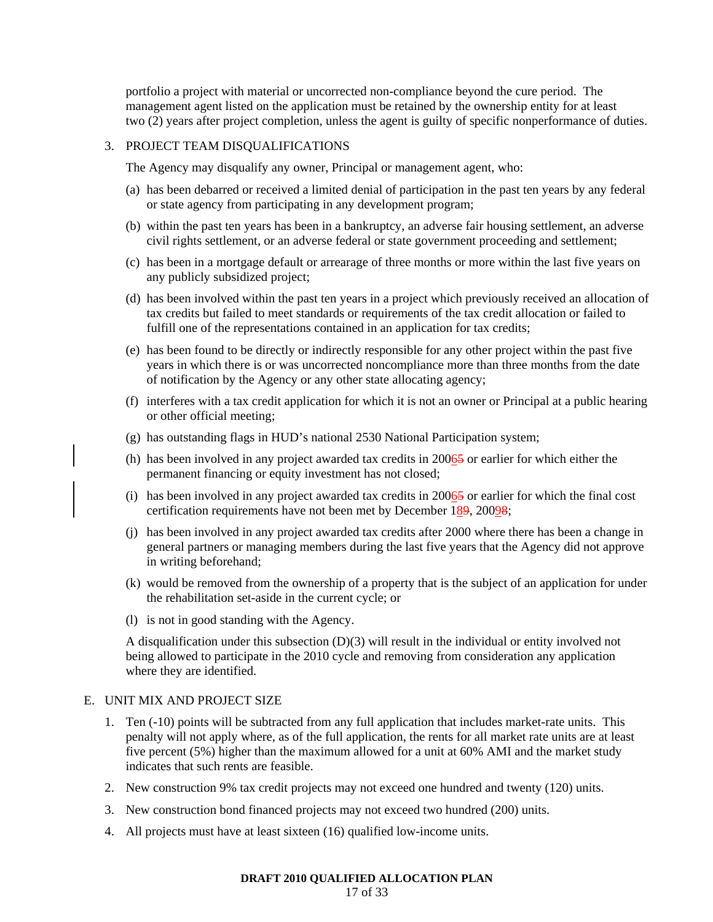portfolio a project with material or uncorrected non-compliance beyond the cure period. The management agent listed on the application must be retained by the ownership entity for at least two (2) years after project completion, unless the agent is guilty of specific nonperformance of duties.

#### 3. PROJECT TEAM DISQUALIFICATIONS

The Agency may disqualify any owner, Principal or management agent, who:

- (a) has been debarred or received a limited denial of participation in the past ten years by any federal or state agency from participating in any development program;
- (b) within the past ten years has been in a bankruptcy, an adverse fair housing settlement, an adverse civil rights settlement, or an adverse federal or state government proceeding and settlement;
- (c) has been in a mortgage default or arrearage of three months or more within the last five years on any publicly subsidized project;
- (d) has been involved within the past ten years in a project which previously received an allocation of tax credits but failed to meet standards or requirements of the tax credit allocation or failed to fulfill one of the representations contained in an application for tax credits;
- (e) has been found to be directly or indirectly responsible for any other project within the past five years in which there is or was uncorrected noncompliance more than three months from the date of notification by the Agency or any other state allocating agency;
- (f) interferes with a tax credit application for which it is not an owner or Principal at a public hearing or other official meeting;
- (g) has outstanding flags in HUD's national 2530 National Participation system;
- (h) has been involved in any project awarded tax credits in 20065 or earlier for which either the permanent financing or equity investment has not closed;
- (i) has been involved in any project awarded tax credits in  $20065$  or earlier for which the final cost certification requirements have not been met by December 189, 20098;
- (j) has been involved in any project awarded tax credits after 2000 where there has been a change in general partners or managing members during the last five years that the Agency did not approve in writing beforehand;
- (k) would be removed from the ownership of a property that is the subject of an application for under the rehabilitation set-aside in the current cycle; or
- (l) is not in good standing with the Agency.

A disqualification under this subsection (D)(3) will result in the individual or entity involved not being allowed to participate in the 2010 cycle and removing from consideration any application where they are identified.

#### E. UNIT MIX AND PROJECT SIZE

- 1. Ten (-10) points will be subtracted from any full application that includes market-rate units. This penalty will not apply where, as of the full application, the rents for all market rate units are at least five percent (5%) higher than the maximum allowed for a unit at 60% AMI and the market study indicates that such rents are feasible.
- 2. New construction 9% tax credit projects may not exceed one hundred and twenty (120) units.
- 3. New construction bond financed projects may not exceed two hundred (200) units.
- 4. All projects must have at least sixteen (16) qualified low-income units.

#### **DRAFT 2010 QUALIFIED ALLOCATION PLAN**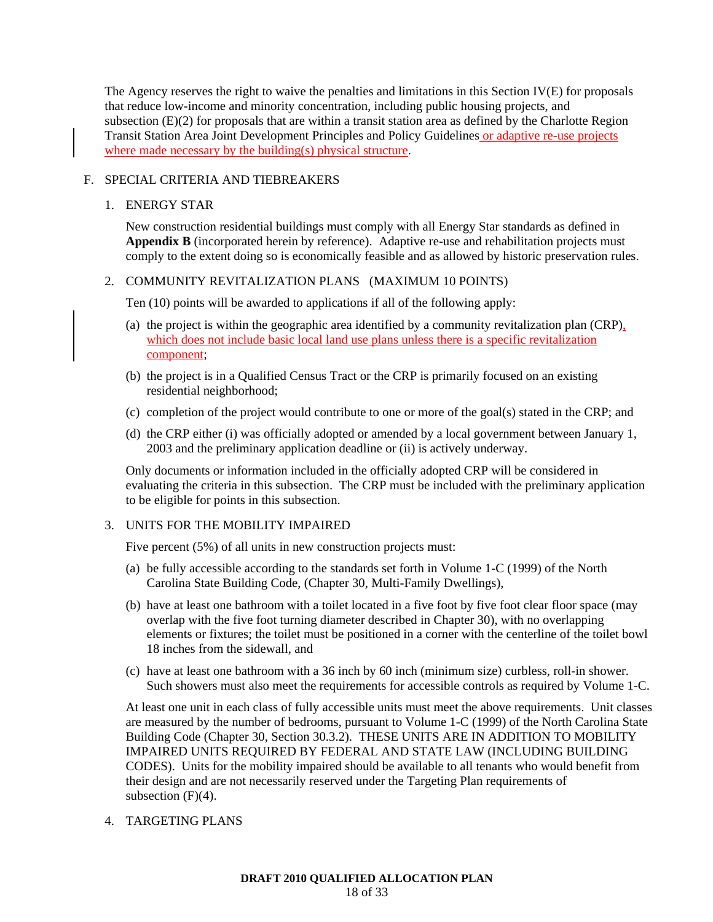The Agency reserves the right to waive the penalties and limitations in this Section IV(E) for proposals that reduce low-income and minority concentration, including public housing projects, and subsection (E)(2) for proposals that are within a transit station area as defined by the Charlotte Region Transit Station Area Joint Development Principles and Policy Guidelines or adaptive re-use projects where made necessary by the building(s) physical structure.

### F. SPECIAL CRITERIA AND TIEBREAKERS

#### 1. ENERGY STAR

New construction residential buildings must comply with all Energy Star standards as defined in **Appendix B** (incorporated herein by reference). Adaptive re-use and rehabilitation projects must comply to the extent doing so is economically feasible and as allowed by historic preservation rules.

### 2. COMMUNITY REVITALIZATION PLANS (MAXIMUM 10 POINTS)

Ten (10) points will be awarded to applications if all of the following apply:

- (a) the project is within the geographic area identified by a community revitalization plan (CRP), which does not include basic local land use plans unless there is a specific revitalization component;
- (b) the project is in a Qualified Census Tract or the CRP is primarily focused on an existing residential neighborhood;
- (c) completion of the project would contribute to one or more of the goal(s) stated in the CRP; and
- (d) the CRP either (i) was officially adopted or amended by a local government between January 1, 2003 and the preliminary application deadline or (ii) is actively underway.

Only documents or information included in the officially adopted CRP will be considered in evaluating the criteria in this subsection. The CRP must be included with the preliminary application to be eligible for points in this subsection.

### 3. UNITS FOR THE MOBILITY IMPAIRED

Five percent (5%) of all units in new construction projects must:

- (a) be fully accessible according to the standards set forth in Volume 1-C (1999) of the North Carolina State Building Code, (Chapter 30, Multi-Family Dwellings),
- (b) have at least one bathroom with a toilet located in a five foot by five foot clear floor space (may overlap with the five foot turning diameter described in Chapter 30), with no overlapping elements or fixtures; the toilet must be positioned in a corner with the centerline of the toilet bowl 18 inches from the sidewall, and
- (c) have at least one bathroom with a 36 inch by 60 inch (minimum size) curbless, roll-in shower. Such showers must also meet the requirements for accessible controls as required by Volume 1-C.

At least one unit in each class of fully accessible units must meet the above requirements. Unit classes are measured by the number of bedrooms, pursuant to Volume 1-C (1999) of the North Carolina State Building Code (Chapter 30, Section 30.3.2). THESE UNITS ARE IN ADDITION TO MOBILITY IMPAIRED UNITS REQUIRED BY FEDERAL AND STATE LAW (INCLUDING BUILDING CODES). Units for the mobility impaired should be available to all tenants who would benefit from their design and are not necessarily reserved under the Targeting Plan requirements of subsection (F)(4).

4. TARGETING PLANS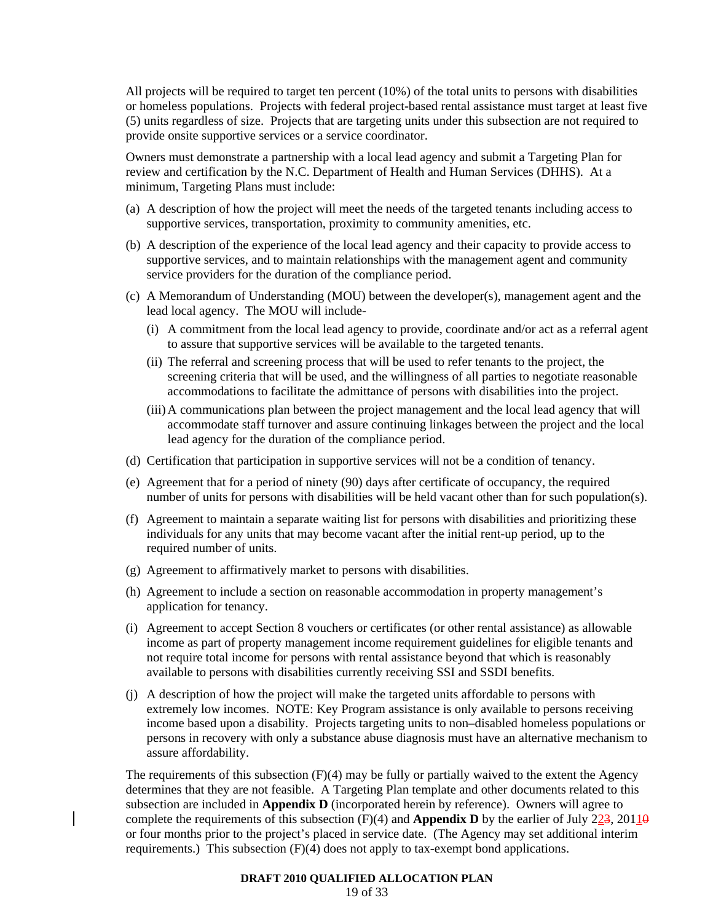All projects will be required to target ten percent (10%) of the total units to persons with disabilities or homeless populations. Projects with federal project-based rental assistance must target at least five (5) units regardless of size. Projects that are targeting units under this subsection are not required to provide onsite supportive services or a service coordinator.

Owners must demonstrate a partnership with a local lead agency and submit a Targeting Plan for review and certification by the N.C. Department of Health and Human Services (DHHS). At a minimum, Targeting Plans must include:

- (a) A description of how the project will meet the needs of the targeted tenants including access to supportive services, transportation, proximity to community amenities, etc.
- (b) A description of the experience of the local lead agency and their capacity to provide access to supportive services, and to maintain relationships with the management agent and community service providers for the duration of the compliance period.
- (c) A Memorandum of Understanding (MOU) between the developer(s), management agent and the lead local agency. The MOU will include-
	- (i) A commitment from the local lead agency to provide, coordinate and/or act as a referral agent to assure that supportive services will be available to the targeted tenants.
	- (ii) The referral and screening process that will be used to refer tenants to the project, the screening criteria that will be used, and the willingness of all parties to negotiate reasonable accommodations to facilitate the admittance of persons with disabilities into the project.
	- (iii) A communications plan between the project management and the local lead agency that will accommodate staff turnover and assure continuing linkages between the project and the local lead agency for the duration of the compliance period.
- (d) Certification that participation in supportive services will not be a condition of tenancy.
- (e) Agreement that for a period of ninety (90) days after certificate of occupancy, the required number of units for persons with disabilities will be held vacant other than for such population(s).
- (f) Agreement to maintain a separate waiting list for persons with disabilities and prioritizing these individuals for any units that may become vacant after the initial rent-up period, up to the required number of units.
- (g) Agreement to affirmatively market to persons with disabilities.
- (h) Agreement to include a section on reasonable accommodation in property management's application for tenancy.
- (i) Agreement to accept Section 8 vouchers or certificates (or other rental assistance) as allowable income as part of property management income requirement guidelines for eligible tenants and not require total income for persons with rental assistance beyond that which is reasonably available to persons with disabilities currently receiving SSI and SSDI benefits.
- (j) A description of how the project will make the targeted units affordable to persons with extremely low incomes. NOTE: Key Program assistance is only available to persons receiving income based upon a disability. Projects targeting units to non–disabled homeless populations or persons in recovery with only a substance abuse diagnosis must have an alternative mechanism to assure affordability.

The requirements of this subsection (F)(4) may be fully or partially waived to the extent the Agency determines that they are not feasible. A Targeting Plan template and other documents related to this subsection are included in **Appendix D** (incorporated herein by reference). Owners will agree to complete the requirements of this subsection  $(F)(4)$  and **Appendix D** by the earlier of July 223, 20110 or four months prior to the project's placed in service date. (The Agency may set additional interim requirements.) This subsection (F)(4) does not apply to tax-exempt bond applications.

#### **DRAFT 2010 QUALIFIED ALLOCATION PLAN**

19 of 33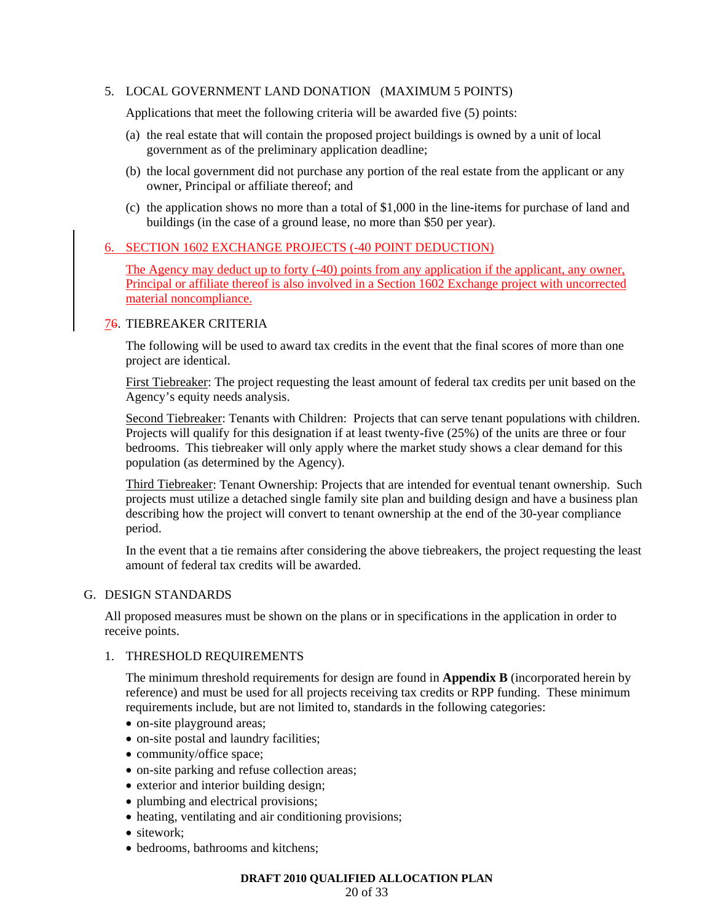### 5. LOCAL GOVERNMENT LAND DONATION (MAXIMUM 5 POINTS)

Applications that meet the following criteria will be awarded five (5) points:

- (a) the real estate that will contain the proposed project buildings is owned by a unit of local government as of the preliminary application deadline;
- (b) the local government did not purchase any portion of the real estate from the applicant or any owner, Principal or affiliate thereof; and
- (c) the application shows no more than a total of \$1,000 in the line-items for purchase of land and buildings (in the case of a ground lease, no more than \$50 per year).

### 6. SECTION 1602 EXCHANGE PROJECTS (-40 POINT DEDUCTION)

The Agency may deduct up to forty (-40) points from any application if the applicant, any owner, Principal or affiliate thereof is also involved in a Section 1602 Exchange project with uncorrected material noncompliance.

### 76. TIEBREAKER CRITERIA

The following will be used to award tax credits in the event that the final scores of more than one project are identical.

First Tiebreaker: The project requesting the least amount of federal tax credits per unit based on the Agency's equity needs analysis.

Second Tiebreaker: Tenants with Children: Projects that can serve tenant populations with children. Projects will qualify for this designation if at least twenty-five (25%) of the units are three or four bedrooms. This tiebreaker will only apply where the market study shows a clear demand for this population (as determined by the Agency).

Third Tiebreaker: Tenant Ownership: Projects that are intended for eventual tenant ownership. Such projects must utilize a detached single family site plan and building design and have a business plan describing how the project will convert to tenant ownership at the end of the 30-year compliance period.

In the event that a tie remains after considering the above tiebreakers, the project requesting the least amount of federal tax credits will be awarded.

### G. DESIGN STANDARDS

All proposed measures must be shown on the plans or in specifications in the application in order to receive points.

#### 1. THRESHOLD REQUIREMENTS

The minimum threshold requirements for design are found in **Appendix B** (incorporated herein by reference) and must be used for all projects receiving tax credits or RPP funding. These minimum requirements include, but are not limited to, standards in the following categories:

- on-site playground areas;
- on-site postal and laundry facilities;
- community/office space;
- on-site parking and refuse collection areas;
- exterior and interior building design;
- plumbing and electrical provisions;
- heating, ventilating and air conditioning provisions;
- sitework:
- bedrooms, bathrooms and kitchens;

#### **DRAFT 2010 QUALIFIED ALLOCATION PLAN**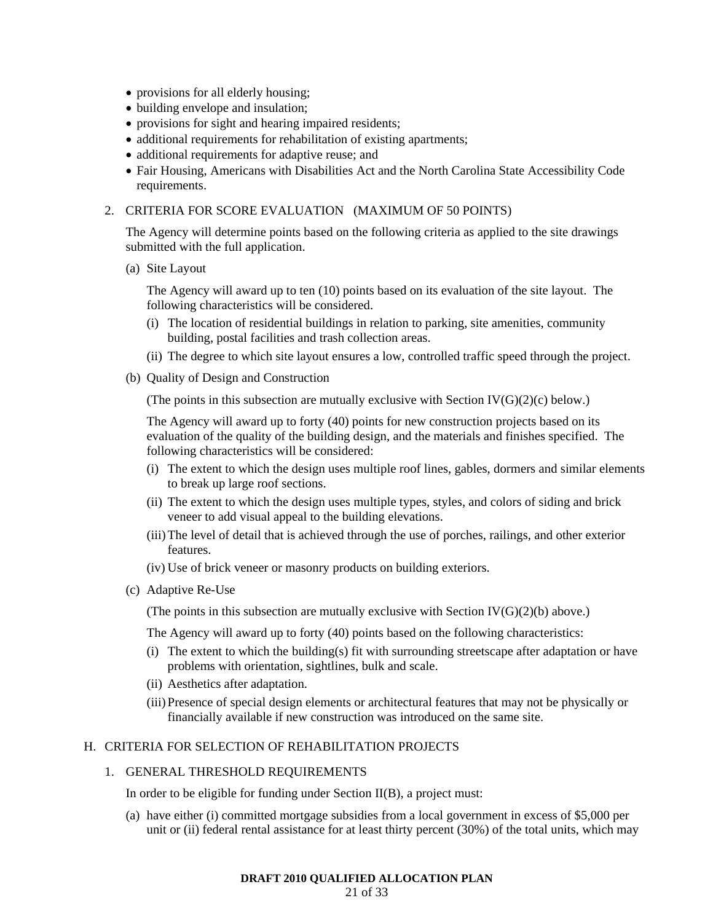- provisions for all elderly housing;
- building envelope and insulation;
- provisions for sight and hearing impaired residents;
- additional requirements for rehabilitation of existing apartments;
- additional requirements for adaptive reuse; and
- Fair Housing, Americans with Disabilities Act and the North Carolina State Accessibility Code requirements.

### 2. CRITERIA FOR SCORE EVALUATION (MAXIMUM OF 50 POINTS)

The Agency will determine points based on the following criteria as applied to the site drawings submitted with the full application.

(a) Site Layout

The Agency will award up to ten (10) points based on its evaluation of the site layout. The following characteristics will be considered.

- (i) The location of residential buildings in relation to parking, site amenities, community building, postal facilities and trash collection areas.
- (ii) The degree to which site layout ensures a low, controlled traffic speed through the project.
- (b) Quality of Design and Construction

(The points in this subsection are mutually exclusive with Section IV( $G(2)(c)$  below.)

The Agency will award up to forty (40) points for new construction projects based on its evaluation of the quality of the building design, and the materials and finishes specified. The following characteristics will be considered:

- (i) The extent to which the design uses multiple roof lines, gables, dormers and similar elements to break up large roof sections.
- (ii) The extent to which the design uses multiple types, styles, and colors of siding and brick veneer to add visual appeal to the building elevations.
- (iii) The level of detail that is achieved through the use of porches, railings, and other exterior features.
- (iv) Use of brick veneer or masonry products on building exteriors.
- (c) Adaptive Re-Use

(The points in this subsection are mutually exclusive with Section  $IV(G)(2)(b)$  above.)

The Agency will award up to forty (40) points based on the following characteristics:

- (i) The extent to which the building(s) fit with surrounding streetscape after adaptation or have problems with orientation, sightlines, bulk and scale.
- (ii) Aesthetics after adaptation.
- (iii) Presence of special design elements or architectural features that may not be physically or financially available if new construction was introduced on the same site.

#### H. CRITERIA FOR SELECTION OF REHABILITATION PROJECTS

### 1. GENERAL THRESHOLD REQUIREMENTS

In order to be eligible for funding under Section II(B), a project must:

(a) have either (i) committed mortgage subsidies from a local government in excess of \$5,000 per unit or (ii) federal rental assistance for at least thirty percent (30%) of the total units, which may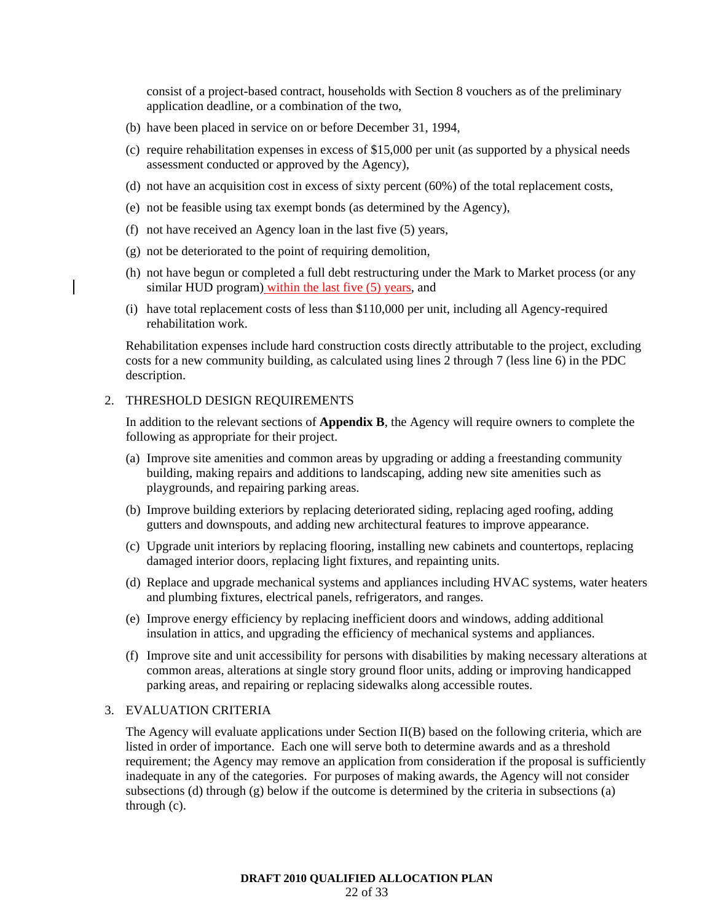consist of a project-based contract, households with Section 8 vouchers as of the preliminary application deadline, or a combination of the two,

- (b) have been placed in service on or before December 31, 1994,
- (c) require rehabilitation expenses in excess of \$15,000 per unit (as supported by a physical needs assessment conducted or approved by the Agency),
- (d) not have an acquisition cost in excess of sixty percent (60%) of the total replacement costs,
- (e) not be feasible using tax exempt bonds (as determined by the Agency),
- (f) not have received an Agency loan in the last five (5) years,
- (g) not be deteriorated to the point of requiring demolition,
- (h) not have begun or completed a full debt restructuring under the Mark to Market process (or any similar HUD program) within the last five (5) years, and
- (i) have total replacement costs of less than \$110,000 per unit, including all Agency-required rehabilitation work.

Rehabilitation expenses include hard construction costs directly attributable to the project, excluding costs for a new community building, as calculated using lines 2 through 7 (less line 6) in the PDC description.

#### 2. THRESHOLD DESIGN REQUIREMENTS

In addition to the relevant sections of **Appendix B**, the Agency will require owners to complete the following as appropriate for their project.

- (a) Improve site amenities and common areas by upgrading or adding a freestanding community building, making repairs and additions to landscaping, adding new site amenities such as playgrounds, and repairing parking areas.
- (b) Improve building exteriors by replacing deteriorated siding, replacing aged roofing, adding gutters and downspouts, and adding new architectural features to improve appearance.
- (c) Upgrade unit interiors by replacing flooring, installing new cabinets and countertops, replacing damaged interior doors, replacing light fixtures, and repainting units.
- (d) Replace and upgrade mechanical systems and appliances including HVAC systems, water heaters and plumbing fixtures, electrical panels, refrigerators, and ranges.
- (e) Improve energy efficiency by replacing inefficient doors and windows, adding additional insulation in attics, and upgrading the efficiency of mechanical systems and appliances.
- (f) Improve site and unit accessibility for persons with disabilities by making necessary alterations at common areas, alterations at single story ground floor units, adding or improving handicapped parking areas, and repairing or replacing sidewalks along accessible routes.

### 3. EVALUATION CRITERIA

The Agency will evaluate applications under Section II(B) based on the following criteria, which are listed in order of importance. Each one will serve both to determine awards and as a threshold requirement; the Agency may remove an application from consideration if the proposal is sufficiently inadequate in any of the categories. For purposes of making awards, the Agency will not consider subsections (d) through (g) below if the outcome is determined by the criteria in subsections (a) through (c).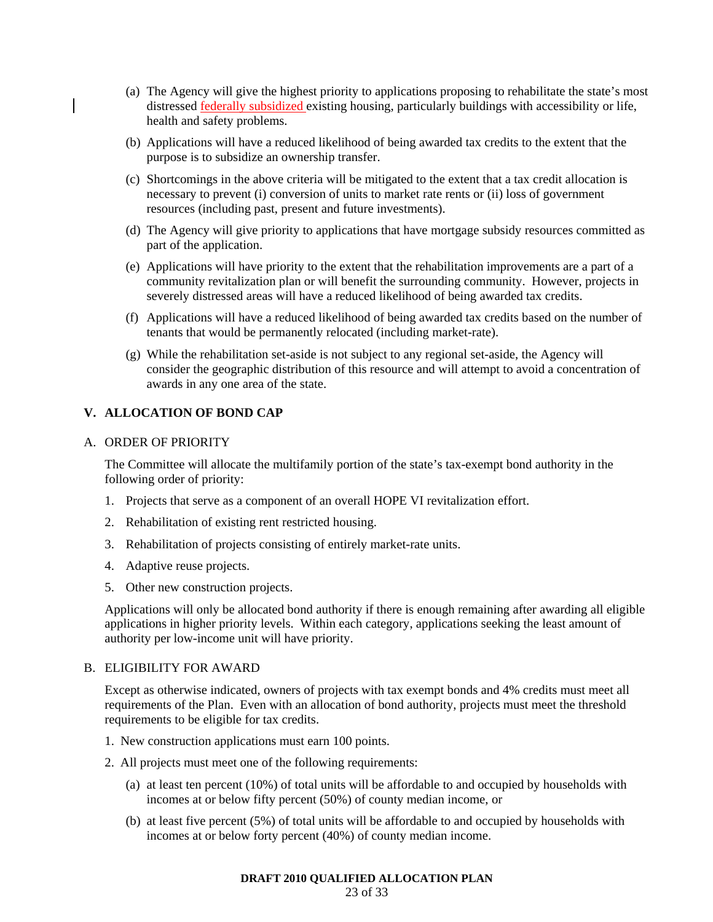- (a) The Agency will give the highest priority to applications proposing to rehabilitate the state's most distressed federally subsidized existing housing, particularly buildings with accessibility or life, health and safety problems.
- (b) Applications will have a reduced likelihood of being awarded tax credits to the extent that the purpose is to subsidize an ownership transfer.
- (c) Shortcomings in the above criteria will be mitigated to the extent that a tax credit allocation is necessary to prevent (i) conversion of units to market rate rents or (ii) loss of government resources (including past, present and future investments).
- (d) The Agency will give priority to applications that have mortgage subsidy resources committed as part of the application.
- (e) Applications will have priority to the extent that the rehabilitation improvements are a part of a community revitalization plan or will benefit the surrounding community. However, projects in severely distressed areas will have a reduced likelihood of being awarded tax credits.
- (f) Applications will have a reduced likelihood of being awarded tax credits based on the number of tenants that would be permanently relocated (including market-rate).
- (g) While the rehabilitation set-aside is not subject to any regional set-aside, the Agency will consider the geographic distribution of this resource and will attempt to avoid a concentration of awards in any one area of the state.

### **V. ALLOCATION OF BOND CAP**

### A. ORDER OF PRIORITY

The Committee will allocate the multifamily portion of the state's tax-exempt bond authority in the following order of priority:

- 1. Projects that serve as a component of an overall HOPE VI revitalization effort.
- 2. Rehabilitation of existing rent restricted housing.
- 3. Rehabilitation of projects consisting of entirely market-rate units.
- 4. Adaptive reuse projects.
- 5. Other new construction projects.

Applications will only be allocated bond authority if there is enough remaining after awarding all eligible applications in higher priority levels. Within each category, applications seeking the least amount of authority per low-income unit will have priority.

#### B. ELIGIBILITY FOR AWARD

Except as otherwise indicated, owners of projects with tax exempt bonds and 4% credits must meet all requirements of the Plan. Even with an allocation of bond authority, projects must meet the threshold requirements to be eligible for tax credits.

- 1. New construction applications must earn 100 points.
- 2. All projects must meet one of the following requirements:
	- (a) at least ten percent (10%) of total units will be affordable to and occupied by households with incomes at or below fifty percent (50%) of county median income, or
	- (b) at least five percent (5%) of total units will be affordable to and occupied by households with incomes at or below forty percent (40%) of county median income.

#### **DRAFT 2010 QUALIFIED ALLOCATION PLAN**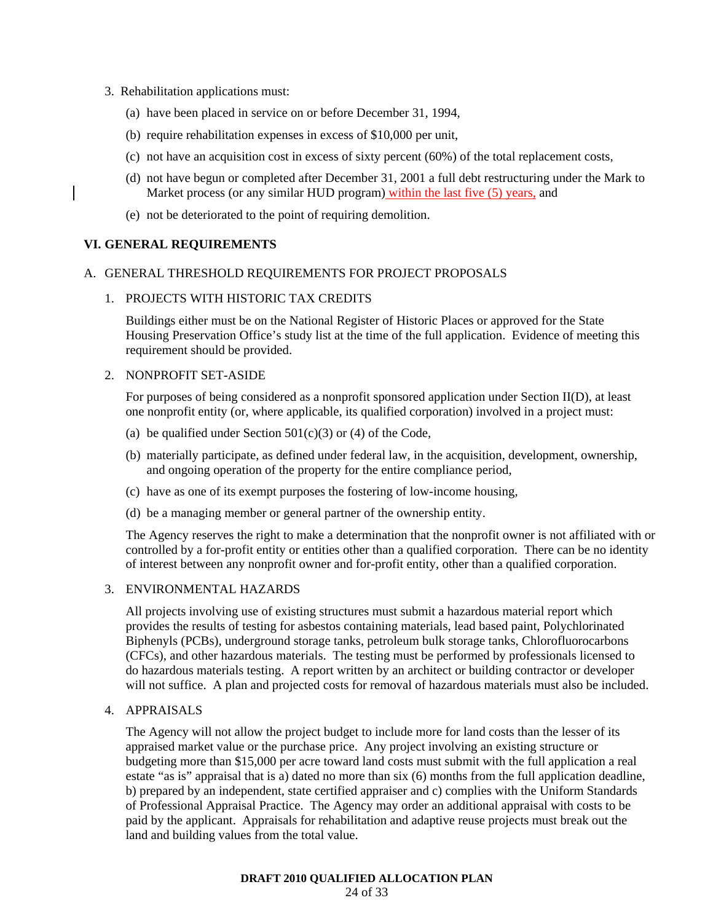- 3. Rehabilitation applications must:
	- (a) have been placed in service on or before December 31, 1994,
	- (b) require rehabilitation expenses in excess of \$10,000 per unit,
	- (c) not have an acquisition cost in excess of sixty percent (60%) of the total replacement costs,
	- (d) not have begun or completed after December 31, 2001 a full debt restructuring under the Mark to Market process (or any similar HUD program) within the last five (5) years, and
	- (e) not be deteriorated to the point of requiring demolition.

### **VI. GENERAL REQUIREMENTS**

#### A. GENERAL THRESHOLD REQUIREMENTS FOR PROJECT PROPOSALS

### 1. PROJECTS WITH HISTORIC TAX CREDITS

Buildings either must be on the National Register of Historic Places or approved for the State Housing Preservation Office's study list at the time of the full application. Evidence of meeting this requirement should be provided.

### 2. NONPROFIT SET-ASIDE

For purposes of being considered as a nonprofit sponsored application under Section II(D), at least one nonprofit entity (or, where applicable, its qualified corporation) involved in a project must:

- (a) be qualified under Section  $501(c)(3)$  or (4) of the Code,
- (b) materially participate, as defined under federal law, in the acquisition, development, ownership, and ongoing operation of the property for the entire compliance period,
- (c) have as one of its exempt purposes the fostering of low-income housing,
- (d) be a managing member or general partner of the ownership entity.

The Agency reserves the right to make a determination that the nonprofit owner is not affiliated with or controlled by a for-profit entity or entities other than a qualified corporation. There can be no identity of interest between any nonprofit owner and for-profit entity, other than a qualified corporation.

#### 3. ENVIRONMENTAL HAZARDS

All projects involving use of existing structures must submit a hazardous material report which provides the results of testing for asbestos containing materials, lead based paint, Polychlorinated Biphenyls (PCBs), underground storage tanks, petroleum bulk storage tanks, Chlorofluorocarbons (CFCs), and other hazardous materials. The testing must be performed by professionals licensed to do hazardous materials testing. A report written by an architect or building contractor or developer will not suffice. A plan and projected costs for removal of hazardous materials must also be included.

# 4. APPRAISALS

The Agency will not allow the project budget to include more for land costs than the lesser of its appraised market value or the purchase price. Any project involving an existing structure or budgeting more than \$15,000 per acre toward land costs must submit with the full application a real estate "as is" appraisal that is a) dated no more than six (6) months from the full application deadline, b) prepared by an independent, state certified appraiser and c) complies with the Uniform Standards of Professional Appraisal Practice. The Agency may order an additional appraisal with costs to be paid by the applicant. Appraisals for rehabilitation and adaptive reuse projects must break out the land and building values from the total value.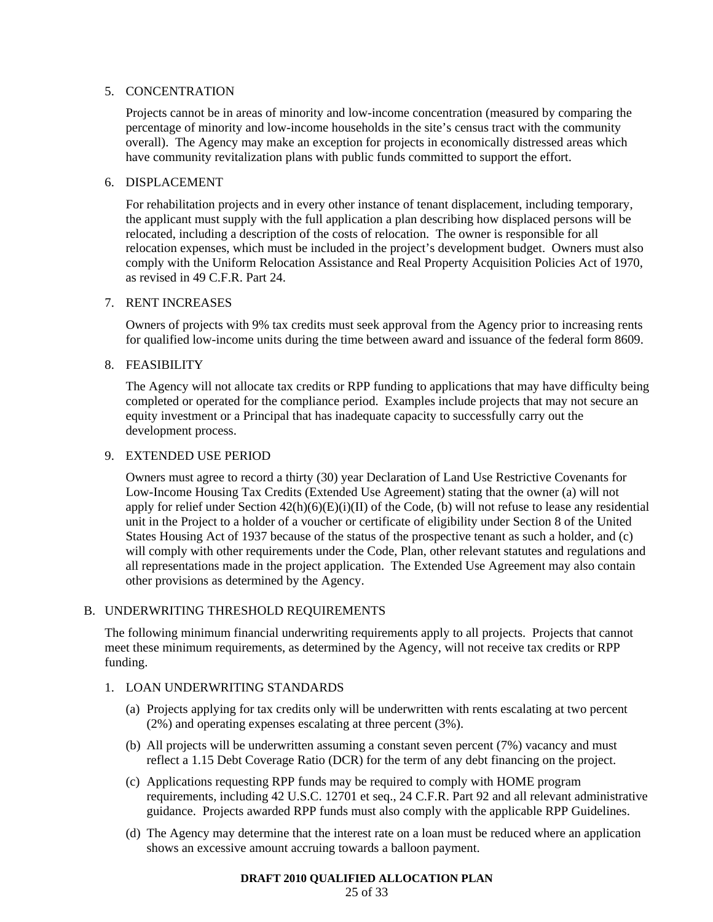### 5. CONCENTRATION

Projects cannot be in areas of minority and low-income concentration (measured by comparing the percentage of minority and low-income households in the site's census tract with the community overall). The Agency may make an exception for projects in economically distressed areas which have community revitalization plans with public funds committed to support the effort.

### 6. DISPLACEMENT

For rehabilitation projects and in every other instance of tenant displacement, including temporary, the applicant must supply with the full application a plan describing how displaced persons will be relocated, including a description of the costs of relocation. The owner is responsible for all relocation expenses, which must be included in the project's development budget. Owners must also comply with the Uniform Relocation Assistance and Real Property Acquisition Policies Act of 1970, as revised in 49 C.F.R. Part 24.

### 7. RENT INCREASES

Owners of projects with 9% tax credits must seek approval from the Agency prior to increasing rents for qualified low-income units during the time between award and issuance of the federal form 8609.

### 8. FEASIBILITY

The Agency will not allocate tax credits or RPP funding to applications that may have difficulty being completed or operated for the compliance period. Examples include projects that may not secure an equity investment or a Principal that has inadequate capacity to successfully carry out the development process.

#### 9. EXTENDED USE PERIOD

Owners must agree to record a thirty (30) year Declaration of Land Use Restrictive Covenants for Low-Income Housing Tax Credits (Extended Use Agreement) stating that the owner (a) will not apply for relief under Section  $42(h)(6)(E)(i)(II)$  of the Code, (b) will not refuse to lease any residential unit in the Project to a holder of a voucher or certificate of eligibility under Section 8 of the United States Housing Act of 1937 because of the status of the prospective tenant as such a holder, and (c) will comply with other requirements under the Code, Plan, other relevant statutes and regulations and all representations made in the project application. The Extended Use Agreement may also contain other provisions as determined by the Agency.

### B. UNDERWRITING THRESHOLD REQUIREMENTS

The following minimum financial underwriting requirements apply to all projects. Projects that cannot meet these minimum requirements, as determined by the Agency, will not receive tax credits or RPP funding.

### 1. LOAN UNDERWRITING STANDARDS

- (a) Projects applying for tax credits only will be underwritten with rents escalating at two percent (2%) and operating expenses escalating at three percent (3%).
- (b) All projects will be underwritten assuming a constant seven percent (7%) vacancy and must reflect a 1.15 Debt Coverage Ratio (DCR) for the term of any debt financing on the project.
- (c) Applications requesting RPP funds may be required to comply with HOME program requirements, including 42 U.S.C. 12701 et seq., 24 C.F.R. Part 92 and all relevant administrative guidance. Projects awarded RPP funds must also comply with the applicable RPP Guidelines.
- (d) The Agency may determine that the interest rate on a loan must be reduced where an application shows an excessive amount accruing towards a balloon payment.

#### **DRAFT 2010 QUALIFIED ALLOCATION PLAN**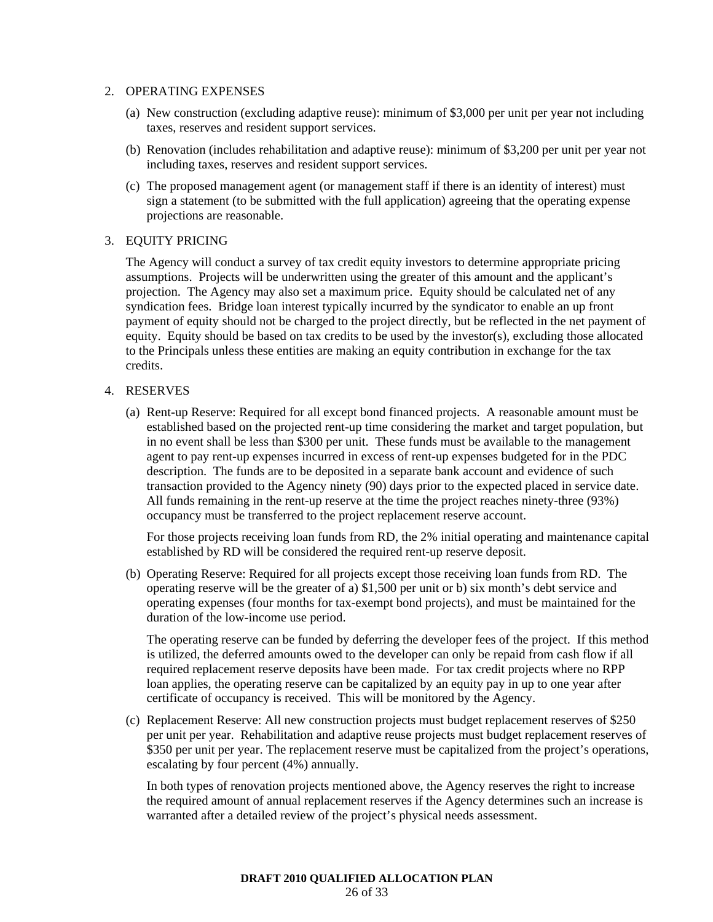#### 2. OPERATING EXPENSES

- (a) New construction (excluding adaptive reuse): minimum of \$3,000 per unit per year not including taxes, reserves and resident support services.
- (b) Renovation (includes rehabilitation and adaptive reuse): minimum of \$3,200 per unit per year not including taxes, reserves and resident support services.
- (c) The proposed management agent (or management staff if there is an identity of interest) must sign a statement (to be submitted with the full application) agreeing that the operating expense projections are reasonable.

### 3. EQUITY PRICING

The Agency will conduct a survey of tax credit equity investors to determine appropriate pricing assumptions. Projects will be underwritten using the greater of this amount and the applicant's projection. The Agency may also set a maximum price. Equity should be calculated net of any syndication fees. Bridge loan interest typically incurred by the syndicator to enable an up front payment of equity should not be charged to the project directly, but be reflected in the net payment of equity. Equity should be based on tax credits to be used by the investor(s), excluding those allocated to the Principals unless these entities are making an equity contribution in exchange for the tax credits.

### 4. RESERVES

(a) Rent-up Reserve: Required for all except bond financed projects. A reasonable amount must be established based on the projected rent-up time considering the market and target population, but in no event shall be less than \$300 per unit. These funds must be available to the management agent to pay rent-up expenses incurred in excess of rent-up expenses budgeted for in the PDC description. The funds are to be deposited in a separate bank account and evidence of such transaction provided to the Agency ninety (90) days prior to the expected placed in service date. All funds remaining in the rent-up reserve at the time the project reaches ninety-three (93%) occupancy must be transferred to the project replacement reserve account.

For those projects receiving loan funds from RD, the 2% initial operating and maintenance capital established by RD will be considered the required rent-up reserve deposit.

(b) Operating Reserve: Required for all projects except those receiving loan funds from RD. The operating reserve will be the greater of a) \$1,500 per unit or b) six month's debt service and operating expenses (four months for tax-exempt bond projects), and must be maintained for the duration of the low-income use period.

The operating reserve can be funded by deferring the developer fees of the project. If this method is utilized, the deferred amounts owed to the developer can only be repaid from cash flow if all required replacement reserve deposits have been made. For tax credit projects where no RPP loan applies, the operating reserve can be capitalized by an equity pay in up to one year after certificate of occupancy is received. This will be monitored by the Agency.

(c) Replacement Reserve: All new construction projects must budget replacement reserves of \$250 per unit per year. Rehabilitation and adaptive reuse projects must budget replacement reserves of \$350 per unit per year. The replacement reserve must be capitalized from the project's operations, escalating by four percent (4%) annually.

In both types of renovation projects mentioned above, the Agency reserves the right to increase the required amount of annual replacement reserves if the Agency determines such an increase is warranted after a detailed review of the project's physical needs assessment.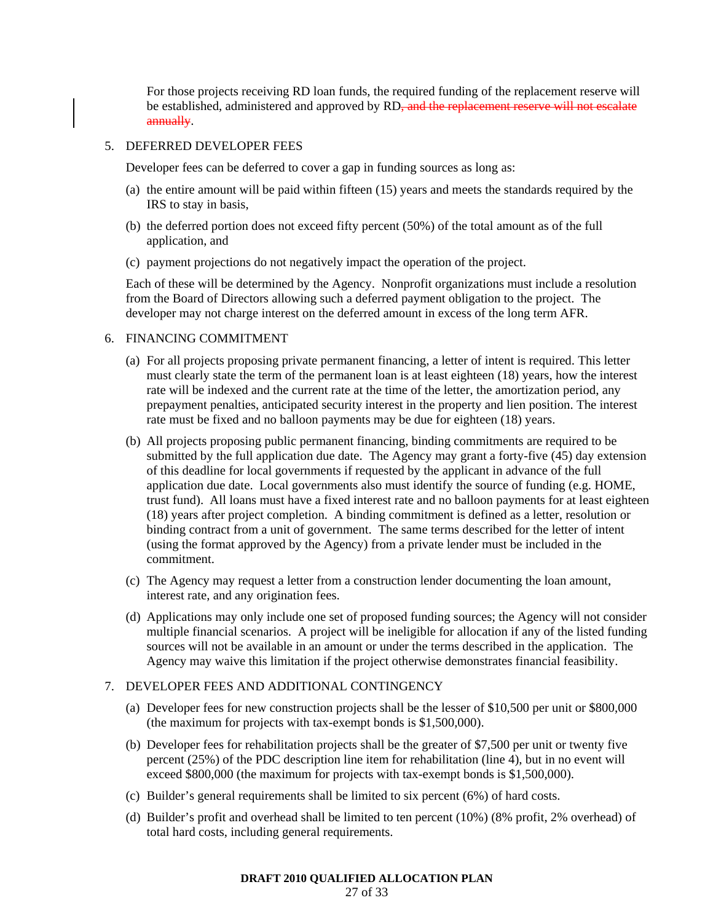For those projects receiving RD loan funds, the required funding of the replacement reserve will be established, administered and approved by RD<del>, and the replacement reserve will not escalate</del> annually.

#### 5. DEFERRED DEVELOPER FEES

Developer fees can be deferred to cover a gap in funding sources as long as:

- (a) the entire amount will be paid within fifteen (15) years and meets the standards required by the IRS to stay in basis,
- (b) the deferred portion does not exceed fifty percent (50%) of the total amount as of the full application, and
- (c) payment projections do not negatively impact the operation of the project.

Each of these will be determined by the Agency. Nonprofit organizations must include a resolution from the Board of Directors allowing such a deferred payment obligation to the project. The developer may not charge interest on the deferred amount in excess of the long term AFR.

#### 6. FINANCING COMMITMENT

- (a) For all projects proposing private permanent financing, a letter of intent is required. This letter must clearly state the term of the permanent loan is at least eighteen (18) years, how the interest rate will be indexed and the current rate at the time of the letter, the amortization period, any prepayment penalties, anticipated security interest in the property and lien position. The interest rate must be fixed and no balloon payments may be due for eighteen (18) years.
- (b) All projects proposing public permanent financing, binding commitments are required to be submitted by the full application due date. The Agency may grant a forty-five (45) day extension of this deadline for local governments if requested by the applicant in advance of the full application due date. Local governments also must identify the source of funding (e.g. HOME, trust fund). All loans must have a fixed interest rate and no balloon payments for at least eighteen (18) years after project completion. A binding commitment is defined as a letter, resolution or binding contract from a unit of government. The same terms described for the letter of intent (using the format approved by the Agency) from a private lender must be included in the commitment.
- (c) The Agency may request a letter from a construction lender documenting the loan amount, interest rate, and any origination fees.
- (d) Applications may only include one set of proposed funding sources; the Agency will not consider multiple financial scenarios. A project will be ineligible for allocation if any of the listed funding sources will not be available in an amount or under the terms described in the application. The Agency may waive this limitation if the project otherwise demonstrates financial feasibility.

### 7. DEVELOPER FEES AND ADDITIONAL CONTINGENCY

- (a) Developer fees for new construction projects shall be the lesser of \$10,500 per unit or \$800,000 (the maximum for projects with tax-exempt bonds is \$1,500,000).
- (b) Developer fees for rehabilitation projects shall be the greater of \$7,500 per unit or twenty five percent (25%) of the PDC description line item for rehabilitation (line 4), but in no event will exceed \$800,000 (the maximum for projects with tax-exempt bonds is \$1,500,000).
- (c) Builder's general requirements shall be limited to six percent (6%) of hard costs.
- (d) Builder's profit and overhead shall be limited to ten percent (10%) (8% profit, 2% overhead) of total hard costs, including general requirements.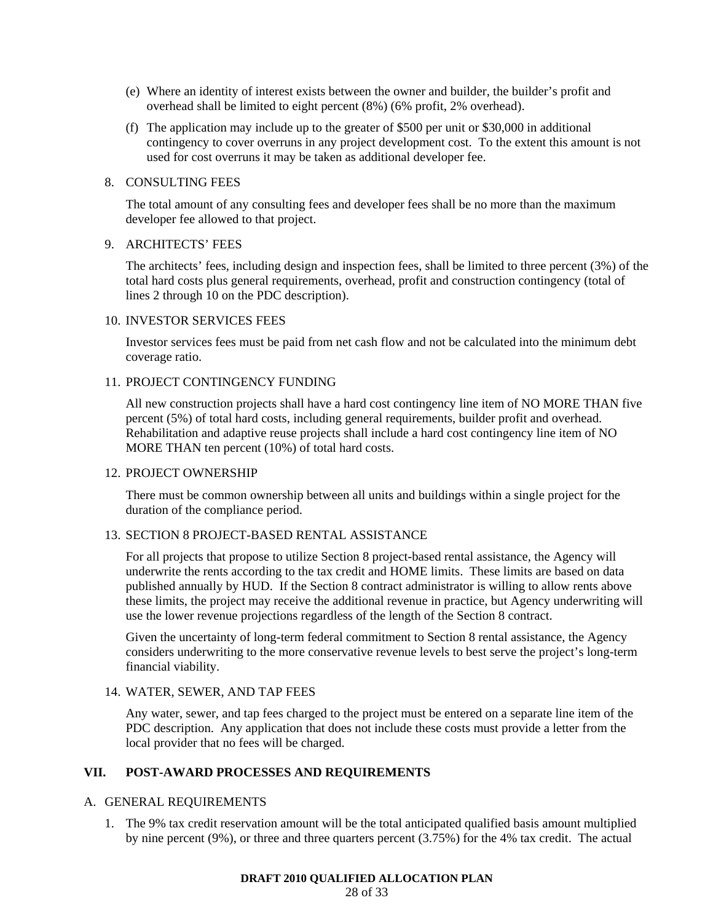- (e) Where an identity of interest exists between the owner and builder, the builder's profit and overhead shall be limited to eight percent (8%) (6% profit, 2% overhead).
- (f) The application may include up to the greater of \$500 per unit or \$30,000 in additional contingency to cover overruns in any project development cost. To the extent this amount is not used for cost overruns it may be taken as additional developer fee.

#### 8. CONSULTING FEES

The total amount of any consulting fees and developer fees shall be no more than the maximum developer fee allowed to that project.

### 9. ARCHITECTS' FEES

The architects' fees, including design and inspection fees, shall be limited to three percent (3%) of the total hard costs plus general requirements, overhead, profit and construction contingency (total of lines 2 through 10 on the PDC description).

### 10. INVESTOR SERVICES FEES

Investor services fees must be paid from net cash flow and not be calculated into the minimum debt coverage ratio.

### 11. PROJECT CONTINGENCY FUNDING

All new construction projects shall have a hard cost contingency line item of NO MORE THAN five percent (5%) of total hard costs, including general requirements, builder profit and overhead. Rehabilitation and adaptive reuse projects shall include a hard cost contingency line item of NO MORE THAN ten percent (10%) of total hard costs.

#### 12. PROJECT OWNERSHIP

There must be common ownership between all units and buildings within a single project for the duration of the compliance period.

#### 13. SECTION 8 PROJECT-BASED RENTAL ASSISTANCE

For all projects that propose to utilize Section 8 project-based rental assistance, the Agency will underwrite the rents according to the tax credit and HOME limits. These limits are based on data published annually by HUD. If the Section 8 contract administrator is willing to allow rents above these limits, the project may receive the additional revenue in practice, but Agency underwriting will use the lower revenue projections regardless of the length of the Section 8 contract.

Given the uncertainty of long-term federal commitment to Section 8 rental assistance, the Agency considers underwriting to the more conservative revenue levels to best serve the project's long-term financial viability.

### 14. WATER, SEWER, AND TAP FEES

Any water, sewer, and tap fees charged to the project must be entered on a separate line item of the PDC description. Any application that does not include these costs must provide a letter from the local provider that no fees will be charged.

### **VII. POST-AWARD PROCESSES AND REQUIREMENTS**

#### A. GENERAL REQUIREMENTS

1. The 9% tax credit reservation amount will be the total anticipated qualified basis amount multiplied by nine percent (9%), or three and three quarters percent (3.75%) for the 4% tax credit. The actual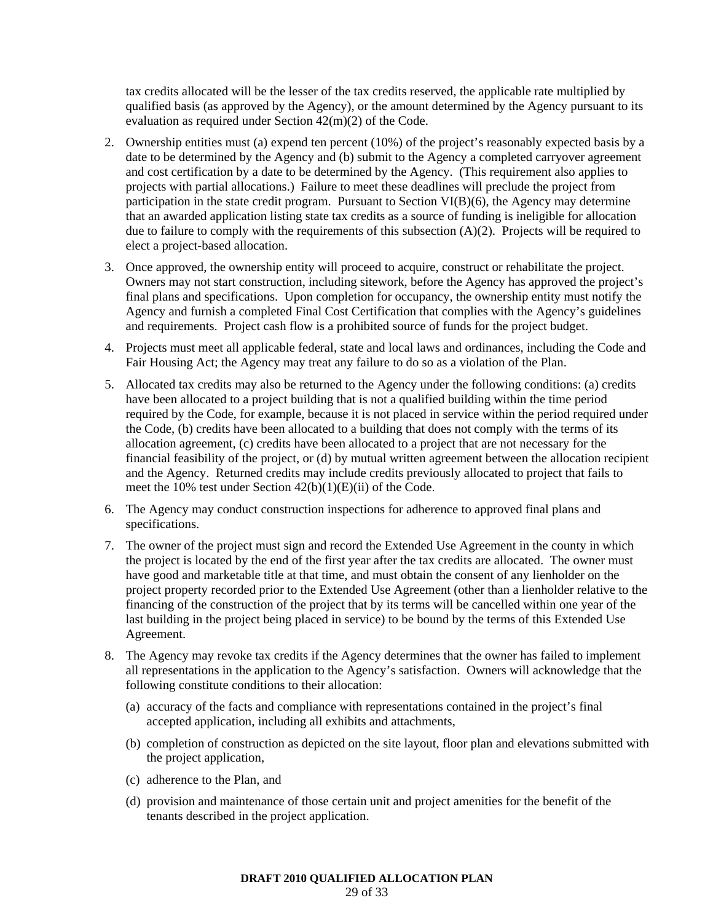tax credits allocated will be the lesser of the tax credits reserved, the applicable rate multiplied by qualified basis (as approved by the Agency), or the amount determined by the Agency pursuant to its evaluation as required under Section 42(m)(2) of the Code.

- 2. Ownership entities must (a) expend ten percent (10%) of the project's reasonably expected basis by a date to be determined by the Agency and (b) submit to the Agency a completed carryover agreement and cost certification by a date to be determined by the Agency. (This requirement also applies to projects with partial allocations.) Failure to meet these deadlines will preclude the project from participation in the state credit program. Pursuant to Section VI(B)(6), the Agency may determine that an awarded application listing state tax credits as a source of funding is ineligible for allocation due to failure to comply with the requirements of this subsection (A)(2). Projects will be required to elect a project-based allocation.
- 3. Once approved, the ownership entity will proceed to acquire, construct or rehabilitate the project. Owners may not start construction, including sitework, before the Agency has approved the project's final plans and specifications. Upon completion for occupancy, the ownership entity must notify the Agency and furnish a completed Final Cost Certification that complies with the Agency's guidelines and requirements. Project cash flow is a prohibited source of funds for the project budget.
- 4. Projects must meet all applicable federal, state and local laws and ordinances, including the Code and Fair Housing Act; the Agency may treat any failure to do so as a violation of the Plan.
- 5. Allocated tax credits may also be returned to the Agency under the following conditions: (a) credits have been allocated to a project building that is not a qualified building within the time period required by the Code, for example, because it is not placed in service within the period required under the Code, (b) credits have been allocated to a building that does not comply with the terms of its allocation agreement, (c) credits have been allocated to a project that are not necessary for the financial feasibility of the project, or (d) by mutual written agreement between the allocation recipient and the Agency. Returned credits may include credits previously allocated to project that fails to meet the 10% test under Section 42(b)(1)(E)(ii) of the Code.
- 6. The Agency may conduct construction inspections for adherence to approved final plans and specifications.
- 7. The owner of the project must sign and record the Extended Use Agreement in the county in which the project is located by the end of the first year after the tax credits are allocated. The owner must have good and marketable title at that time, and must obtain the consent of any lienholder on the project property recorded prior to the Extended Use Agreement (other than a lienholder relative to the financing of the construction of the project that by its terms will be cancelled within one year of the last building in the project being placed in service) to be bound by the terms of this Extended Use Agreement.
- 8. The Agency may revoke tax credits if the Agency determines that the owner has failed to implement all representations in the application to the Agency's satisfaction. Owners will acknowledge that the following constitute conditions to their allocation:
	- (a) accuracy of the facts and compliance with representations contained in the project's final accepted application, including all exhibits and attachments,
	- (b) completion of construction as depicted on the site layout, floor plan and elevations submitted with the project application,
	- (c) adherence to the Plan, and
	- (d) provision and maintenance of those certain unit and project amenities for the benefit of the tenants described in the project application.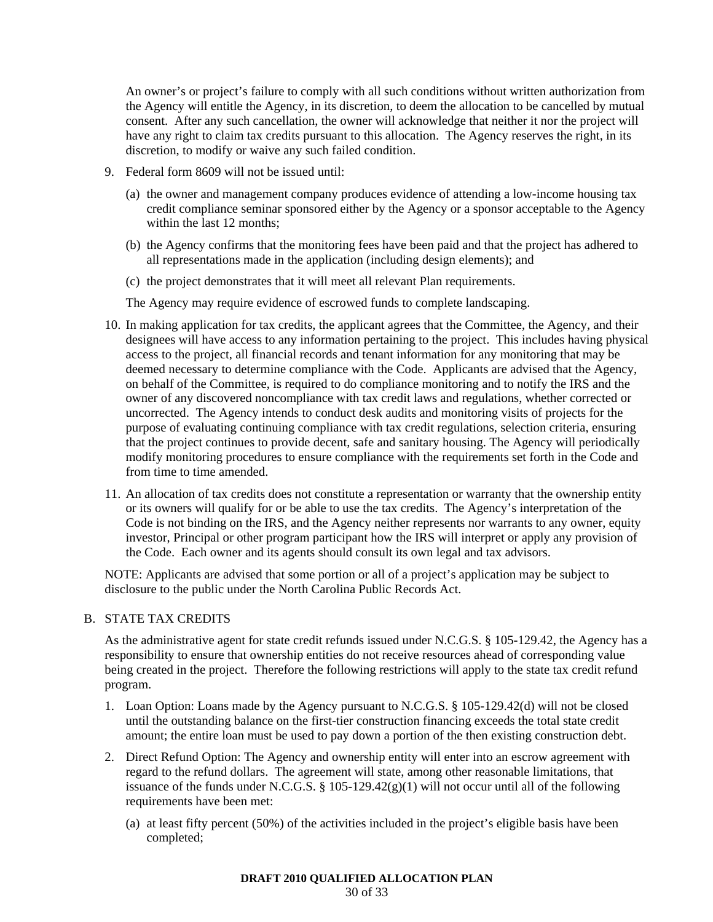An owner's or project's failure to comply with all such conditions without written authorization from the Agency will entitle the Agency, in its discretion, to deem the allocation to be cancelled by mutual consent. After any such cancellation, the owner will acknowledge that neither it nor the project will have any right to claim tax credits pursuant to this allocation. The Agency reserves the right, in its discretion, to modify or waive any such failed condition.

- 9. Federal form 8609 will not be issued until:
	- (a) the owner and management company produces evidence of attending a low-income housing tax credit compliance seminar sponsored either by the Agency or a sponsor acceptable to the Agency within the last 12 months;
	- (b) the Agency confirms that the monitoring fees have been paid and that the project has adhered to all representations made in the application (including design elements); and
	- (c) the project demonstrates that it will meet all relevant Plan requirements.

The Agency may require evidence of escrowed funds to complete landscaping.

- 10. In making application for tax credits, the applicant agrees that the Committee, the Agency, and their designees will have access to any information pertaining to the project. This includes having physical access to the project, all financial records and tenant information for any monitoring that may be deemed necessary to determine compliance with the Code. Applicants are advised that the Agency, on behalf of the Committee, is required to do compliance monitoring and to notify the IRS and the owner of any discovered noncompliance with tax credit laws and regulations, whether corrected or uncorrected. The Agency intends to conduct desk audits and monitoring visits of projects for the purpose of evaluating continuing compliance with tax credit regulations, selection criteria, ensuring that the project continues to provide decent, safe and sanitary housing. The Agency will periodically modify monitoring procedures to ensure compliance with the requirements set forth in the Code and from time to time amended.
- 11. An allocation of tax credits does not constitute a representation or warranty that the ownership entity or its owners will qualify for or be able to use the tax credits. The Agency's interpretation of the Code is not binding on the IRS, and the Agency neither represents nor warrants to any owner, equity investor, Principal or other program participant how the IRS will interpret or apply any provision of the Code. Each owner and its agents should consult its own legal and tax advisors.

NOTE: Applicants are advised that some portion or all of a project's application may be subject to disclosure to the public under the North Carolina Public Records Act.

#### B. STATE TAX CREDITS

As the administrative agent for state credit refunds issued under N.C.G.S. § 105-129.42, the Agency has a responsibility to ensure that ownership entities do not receive resources ahead of corresponding value being created in the project. Therefore the following restrictions will apply to the state tax credit refund program.

- 1. Loan Option: Loans made by the Agency pursuant to N.C.G.S. § 105-129.42(d) will not be closed until the outstanding balance on the first-tier construction financing exceeds the total state credit amount; the entire loan must be used to pay down a portion of the then existing construction debt.
- 2. Direct Refund Option: The Agency and ownership entity will enter into an escrow agreement with regard to the refund dollars. The agreement will state, among other reasonable limitations, that issuance of the funds under N.C.G.S.  $\S$  105-129.42(g)(1) will not occur until all of the following requirements have been met:
	- (a) at least fifty percent (50%) of the activities included in the project's eligible basis have been completed;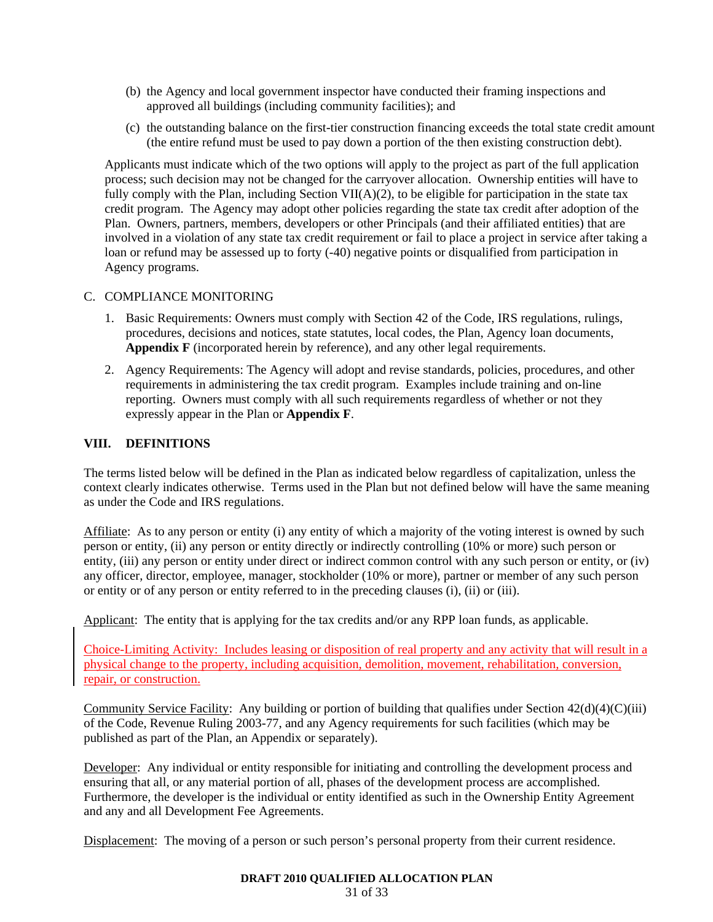- (b) the Agency and local government inspector have conducted their framing inspections and approved all buildings (including community facilities); and
- (c) the outstanding balance on the first-tier construction financing exceeds the total state credit amount (the entire refund must be used to pay down a portion of the then existing construction debt).

Applicants must indicate which of the two options will apply to the project as part of the full application process; such decision may not be changed for the carryover allocation. Ownership entities will have to fully comply with the Plan, including Section  $VII(A)(2)$ , to be eligible for participation in the state tax credit program. The Agency may adopt other policies regarding the state tax credit after adoption of the Plan. Owners, partners, members, developers or other Principals (and their affiliated entities) that are involved in a violation of any state tax credit requirement or fail to place a project in service after taking a loan or refund may be assessed up to forty (-40) negative points or disqualified from participation in Agency programs.

### C. COMPLIANCE MONITORING

- 1. Basic Requirements: Owners must comply with Section 42 of the Code, IRS regulations, rulings, procedures, decisions and notices, state statutes, local codes, the Plan, Agency loan documents, **Appendix F** (incorporated herein by reference), and any other legal requirements.
- 2. Agency Requirements: The Agency will adopt and revise standards, policies, procedures, and other requirements in administering the tax credit program. Examples include training and on-line reporting. Owners must comply with all such requirements regardless of whether or not they expressly appear in the Plan or **Appendix F**.

### **VIII. DEFINITIONS**

The terms listed below will be defined in the Plan as indicated below regardless of capitalization, unless the context clearly indicates otherwise. Terms used in the Plan but not defined below will have the same meaning as under the Code and IRS regulations.

Affiliate: As to any person or entity (i) any entity of which a majority of the voting interest is owned by such person or entity, (ii) any person or entity directly or indirectly controlling (10% or more) such person or entity, (iii) any person or entity under direct or indirect common control with any such person or entity, or (iv) any officer, director, employee, manager, stockholder (10% or more), partner or member of any such person or entity or of any person or entity referred to in the preceding clauses (i), (ii) or (iii).

Applicant: The entity that is applying for the tax credits and/or any RPP loan funds, as applicable.

Choice-Limiting Activity: Includes leasing or disposition of real property and any activity that will result in a physical change to the property, including acquisition, demolition, movement, rehabilitation, conversion, repair, or construction.

Community Service Facility: Any building or portion of building that qualifies under Section  $42(d)(4)(C)(iii)$ of the Code, Revenue Ruling 2003-77, and any Agency requirements for such facilities (which may be published as part of the Plan, an Appendix or separately).

Developer: Any individual or entity responsible for initiating and controlling the development process and ensuring that all, or any material portion of all, phases of the development process are accomplished. Furthermore, the developer is the individual or entity identified as such in the Ownership Entity Agreement and any and all Development Fee Agreements.

Displacement: The moving of a person or such person's personal property from their current residence.

#### **DRAFT 2010 QUALIFIED ALLOCATION PLAN**

31 of 33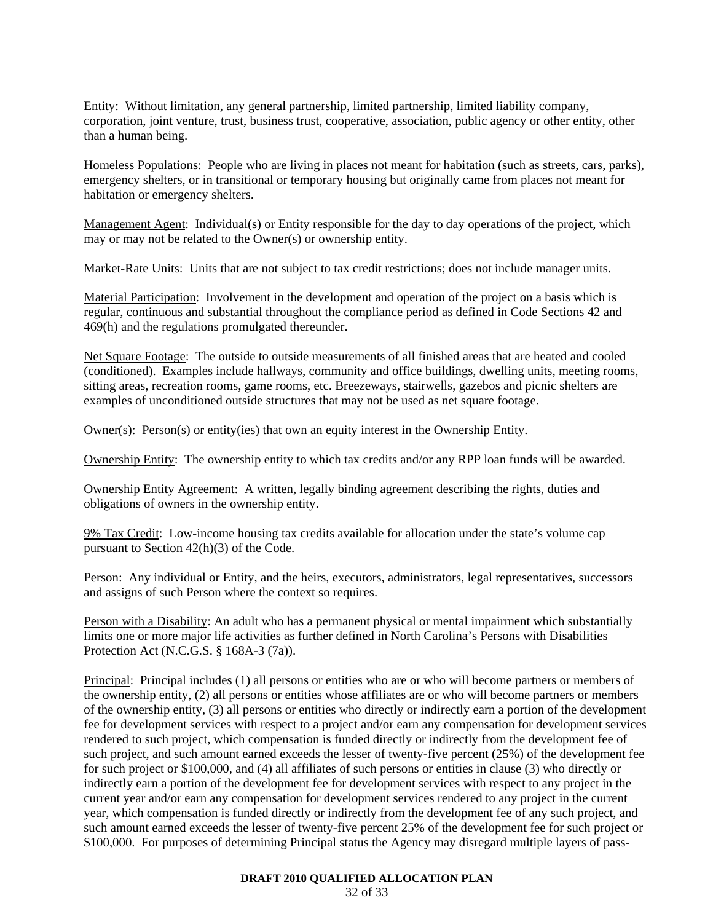Entity: Without limitation, any general partnership, limited partnership, limited liability company, corporation, joint venture, trust, business trust, cooperative, association, public agency or other entity, other than a human being.

Homeless Populations: People who are living in places not meant for habitation (such as streets, cars, parks), emergency shelters, or in transitional or temporary housing but originally came from places not meant for habitation or emergency shelters.

Management Agent: Individual(s) or Entity responsible for the day to day operations of the project, which may or may not be related to the Owner(s) or ownership entity.

Market-Rate Units: Units that are not subject to tax credit restrictions; does not include manager units.

Material Participation: Involvement in the development and operation of the project on a basis which is regular, continuous and substantial throughout the compliance period as defined in Code Sections 42 and 469(h) and the regulations promulgated thereunder.

Net Square Footage: The outside to outside measurements of all finished areas that are heated and cooled (conditioned). Examples include hallways, community and office buildings, dwelling units, meeting rooms, sitting areas, recreation rooms, game rooms, etc. Breezeways, stairwells, gazebos and picnic shelters are examples of unconditioned outside structures that may not be used as net square footage.

Owner(s):  $Person(s)$  or entity(ies) that own an equity interest in the Ownership Entity.

Ownership Entity: The ownership entity to which tax credits and/or any RPP loan funds will be awarded.

Ownership Entity Agreement: A written, legally binding agreement describing the rights, duties and obligations of owners in the ownership entity.

9% Tax Credit: Low-income housing tax credits available for allocation under the state's volume cap pursuant to Section 42(h)(3) of the Code.

Person: Any individual or Entity, and the heirs, executors, administrators, legal representatives, successors and assigns of such Person where the context so requires.

Person with a Disability: An adult who has a permanent physical or mental impairment which substantially limits one or more major life activities as further defined in North Carolina's Persons with Disabilities Protection Act (N.C.G.S. § 168A-3 (7a)).

Principal: Principal includes (1) all persons or entities who are or who will become partners or members of the ownership entity, (2) all persons or entities whose affiliates are or who will become partners or members of the ownership entity, (3) all persons or entities who directly or indirectly earn a portion of the development fee for development services with respect to a project and/or earn any compensation for development services rendered to such project, which compensation is funded directly or indirectly from the development fee of such project, and such amount earned exceeds the lesser of twenty-five percent (25%) of the development fee for such project or \$100,000, and (4) all affiliates of such persons or entities in clause (3) who directly or indirectly earn a portion of the development fee for development services with respect to any project in the current year and/or earn any compensation for development services rendered to any project in the current year, which compensation is funded directly or indirectly from the development fee of any such project, and such amount earned exceeds the lesser of twenty-five percent 25% of the development fee for such project or \$100,000. For purposes of determining Principal status the Agency may disregard multiple layers of pass-

#### **DRAFT 2010 QUALIFIED ALLOCATION PLAN**

32 of 33